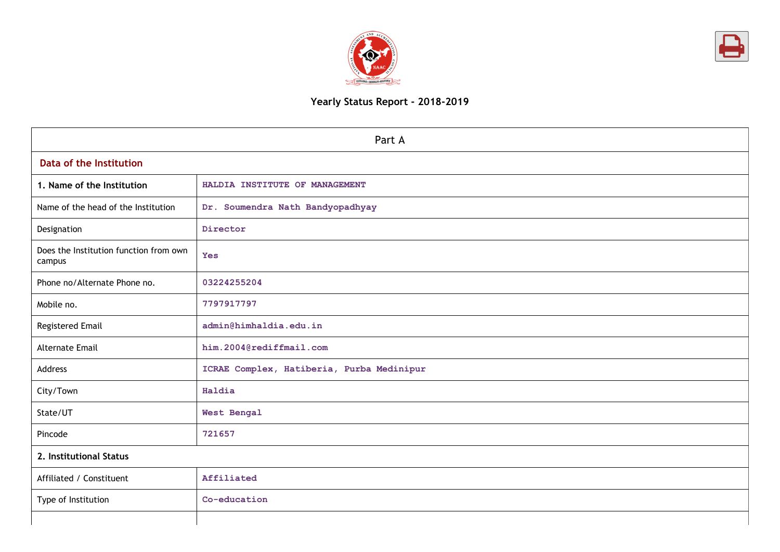



# Yearly Status Report - 2018-2019

| Part A                                           |                                           |  |  |  |  |
|--------------------------------------------------|-------------------------------------------|--|--|--|--|
| Data of the Institution                          |                                           |  |  |  |  |
| 1. Name of the Institution                       | HALDIA INSTITUTE OF MANAGEMENT            |  |  |  |  |
| Name of the head of the Institution              | Dr. Soumendra Nath Bandyopadhyay          |  |  |  |  |
| Designation                                      | Director                                  |  |  |  |  |
| Does the Institution function from own<br>campus | <b>Yes</b>                                |  |  |  |  |
| Phone no/Alternate Phone no.                     | 03224255204                               |  |  |  |  |
| Mobile no.                                       | 7797917797                                |  |  |  |  |
| Registered Email                                 | admin@himhaldia.edu.in                    |  |  |  |  |
| <b>Alternate Email</b>                           | him.2004@rediffmail.com                   |  |  |  |  |
| Address                                          | ICRAE Complex, Hatiberia, Purba Medinipur |  |  |  |  |
| City/Town                                        | Haldia                                    |  |  |  |  |
| State/UT                                         | West Bengal                               |  |  |  |  |
| Pincode                                          | 721657                                    |  |  |  |  |
| 2. Institutional Status                          |                                           |  |  |  |  |
| Affiliated / Constituent                         | Affiliated                                |  |  |  |  |
| Type of Institution                              | Co-education                              |  |  |  |  |
|                                                  |                                           |  |  |  |  |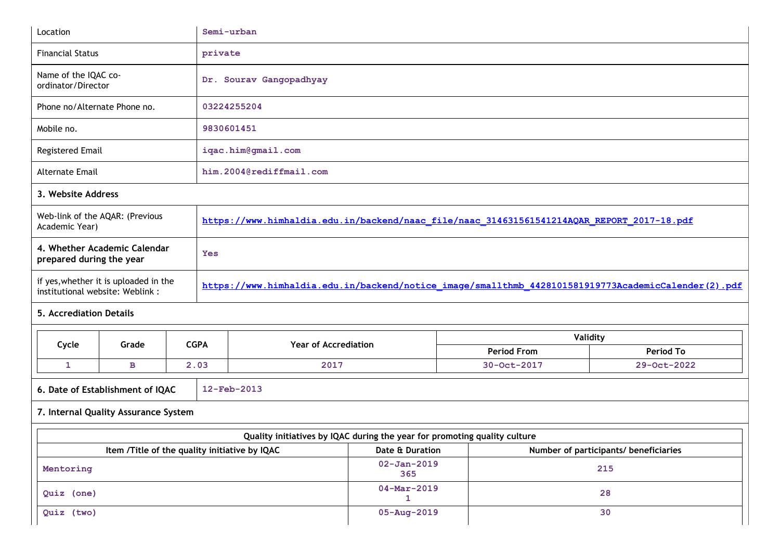| Location                                                                  | Semi-urban                                                                                          |
|---------------------------------------------------------------------------|-----------------------------------------------------------------------------------------------------|
| <b>Financial Status</b>                                                   | private                                                                                             |
| Name of the IQAC co-<br>ordinator/Director                                | Dr. Sourav Gangopadhyay                                                                             |
| Phone no/Alternate Phone no.                                              | 03224255204                                                                                         |
| Mobile no.                                                                | 9830601451                                                                                          |
| Registered Email                                                          | iqac.him@gmail.com                                                                                  |
| <b>Alternate Email</b>                                                    | him.2004@rediffmail.com                                                                             |
| 3. Website Address                                                        |                                                                                                     |
| Web-link of the AQAR: (Previous<br>Academic Year)                         | https://www.himhaldia.edu.in/backend/naac_file/naac_314631561541214AQAR_REPORT_2017-18.pdf          |
| 4. Whether Academic Calendar<br>prepared during the year                  | Yes                                                                                                 |
| if yes, whether it is uploaded in the<br>institutional website: Weblink : | https://www.himhaldia.edu.in/backend/notice_image/smallthmb_4428101581919773AcademicCalender(2).pdf |
| <b>5. Accrediation Details</b>                                            |                                                                                                     |

| Cycle<br>Grade                                     |   | <b>CGPA</b> | <b>Year of Accrediation</b> | Validity           |             |  |
|----------------------------------------------------|---|-------------|-----------------------------|--------------------|-------------|--|
|                                                    |   |             |                             | <b>Period From</b> | Period To   |  |
|                                                    | в | 2.03        | 2017                        | 30-Oct-2017        | 29-Oct-2022 |  |
| $12$ -Feb-2013<br>6. Date of Establishment of IQAC |   |             |                             |                    |             |  |

7. Internal Quality Assurance System

#### Quality initiatives by IQAC during the year for promoting quality culture Item /Title of the quality initiative by IQAC Date & Duration Date & Duration Number of participants/ beneficiaries Mentoring 02-Jan-2019 365 215 Quiz (one) 04-Mar-2019 1 28 Quiz (two) 30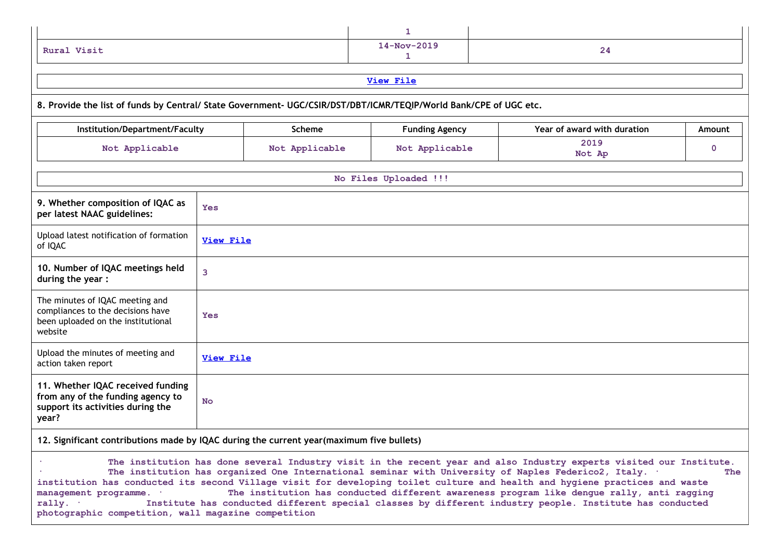| Rural Visit | $14-Nov-2019$ | 44 |
|-------------|---------------|----|

### 8. Provide the list of funds by Central/ State Government- UGC/CSIR/DST/DBT/ICMR/TEQIP/World Bank/CPE of UGC etc.

| Institution/Department/Faculty                                                                                        |                  | <b>Scheme</b>  | <b>Funding Agency</b> | Year of award with duration | <b>Amount</b> |
|-----------------------------------------------------------------------------------------------------------------------|------------------|----------------|-----------------------|-----------------------------|---------------|
| Not Applicable                                                                                                        |                  | Not Applicable | Not Applicable        | 2019<br>Not Ap              | $\mathbf 0$   |
|                                                                                                                       |                  |                | No Files Uploaded !!! |                             |               |
| 9. Whether composition of IQAC as<br>per latest NAAC guidelines:                                                      | <b>Yes</b>       |                |                       |                             |               |
| Upload latest notification of formation<br>of IQAC                                                                    | <b>View File</b> |                |                       |                             |               |
| 10. Number of IQAC meetings held<br>during the year:                                                                  | 3                |                |                       |                             |               |
| The minutes of IQAC meeting and<br>compliances to the decisions have<br>been uploaded on the institutional<br>website | Yes              |                |                       |                             |               |
| Upload the minutes of meeting and<br>action taken report                                                              | <b>View File</b> |                |                       |                             |               |
| 11. Whether IQAC received funding<br>from any of the funding agency to<br>support its activities during the<br>year?  | <b>No</b>        |                |                       |                             |               |
| 12. Significant contributions made by IQAC during the current year(maximum five bullets)                              |                  |                |                       |                             |               |

· The institution has done several Industry visit in the recent year and also Industry experts visited our Institute. The institution has organized One International seminar with University of Naples Federico2, Italy. · The institution has conducted its second Village visit for developing toilet culture and health and hygiene practices and waste<br>management programme. The institution has conducted different awareness program like dengue rally, management programme. \* The institution has conducted different awareness program like dengue rally, anti ragging<br>rally. \* Institute has conducted different special classes by different industry people. Institute has condu Institute has conducted different special classes by different industry people. Institute has conducted photographic competition, wall magazine competition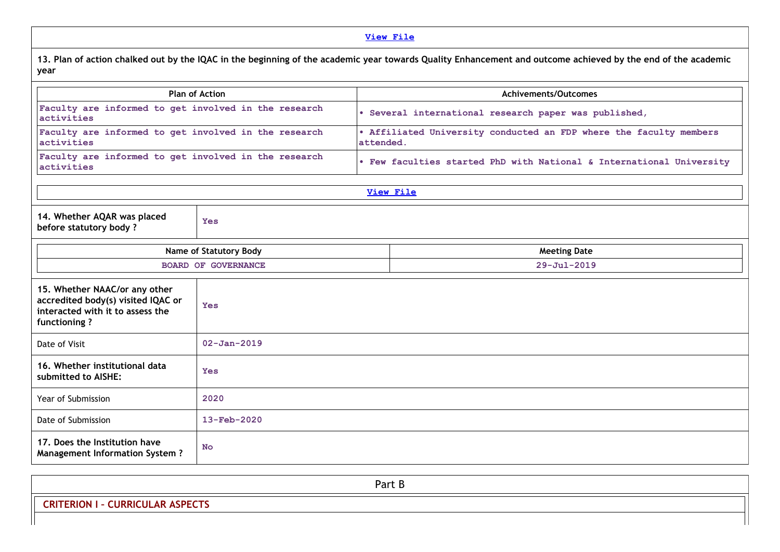### View [File](https://assessmentonline.naac.gov.in/public/Postacc/Contribution/3243_Contribution.xlsx)

13. Plan of action chalked out by the IQAC in the beginning of the academic year towards Quality Enhancement and outcome achieved by the end of the academic year

| <b>Plan of Action</b>                                                                                                   |                            |           | <b>Achivements/Outcomes</b>                                          |
|-------------------------------------------------------------------------------------------------------------------------|----------------------------|-----------|----------------------------------------------------------------------|
| Faculty are informed to get involved in the research<br>activities                                                      |                            |           | · Several international research paper was published,                |
| Faculty are informed to get involved in the research<br>activities                                                      |                            | attended. | . Affiliated University conducted an FDP where the faculty members   |
| Faculty are informed to get involved in the research<br>activities                                                      |                            |           | . Few faculties started PhD with National & International University |
|                                                                                                                         |                            |           | View File                                                            |
| 14. Whether AQAR was placed<br>before statutory body?                                                                   | <b>Yes</b>                 |           |                                                                      |
| Name of Statutory Body                                                                                                  |                            |           | <b>Meeting Date</b>                                                  |
|                                                                                                                         | <b>BOARD OF GOVERNANCE</b> |           | $29 - Ju1 - 2019$                                                    |
| 15. Whether NAAC/or any other<br>accredited body(s) visited IQAC or<br>interacted with it to assess the<br>functioning? | <b>Yes</b>                 |           |                                                                      |
| Date of Visit                                                                                                           | $02 - Jan - 2019$          |           |                                                                      |
| 16. Whether institutional data<br>submitted to AISHE:                                                                   | <b>Yes</b>                 |           |                                                                      |
| Year of Submission                                                                                                      | 2020                       |           |                                                                      |
| Date of Submission                                                                                                      | $13 - \text{Feb} - 2020$   |           |                                                                      |
| 17. Does the Institution have<br><b>Management Information System?</b>                                                  | <b>No</b>                  |           |                                                                      |

| Part B                                                  |  |
|---------------------------------------------------------|--|
| <b>ASPECTS</b><br><b>CURRICUL</b><br>RION<br>$\epsilon$ |  |
|                                                         |  |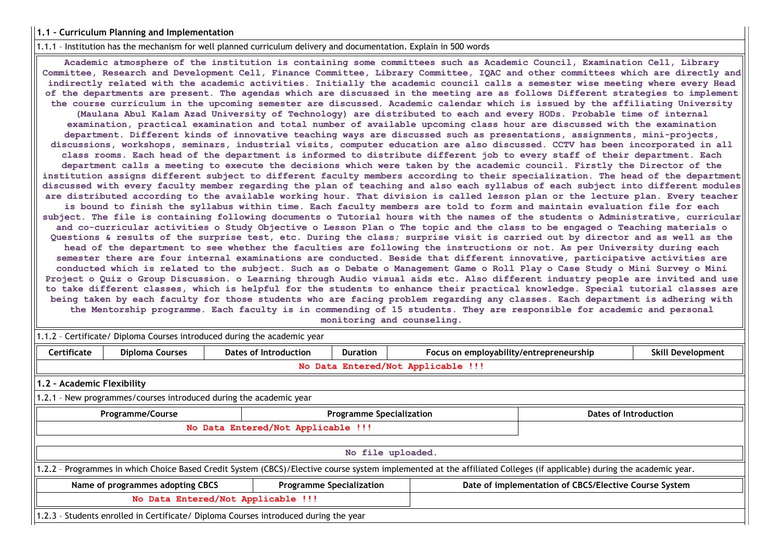### 1.1 – Curriculum Planning and Implementation

1.1.1 – Institution has the mechanism for well planned curriculum delivery and documentation. Explain in 500 words

Academic atmosphere of the institution is containing some committees such as Academic Council, Examination Cell, Library Committee, Research and Development Cell, Finance Committee, Library Committee, IQAC and other committees which are directly and indirectly related with the academic activities. Initially the academic council calls a semester wise meeting where every Head of the departments are present. The agendas which are discussed in the meeting are as follows Different strategies to implement the course curriculum in the upcoming semester are discussed. Academic calendar which is issued by the affiliating University (Maulana Abul Kalam Azad University of Technology) are distributed to each and every HODs. Probable time of internal examination, practical examination and total number of available upcoming class hour are discussed with the examination department. Different kinds of innovative teaching ways are discussed such as presentations, assignments, mini-projects, discussions, workshops, seminars, industrial visits, computer education are also discussed. CCTV has been incorporated in all class rooms. Each head of the department is informed to distribute different job to every staff of their department. Each department calls a meeting to execute the decisions which were taken by the academic council. Firstly the Director of the institution assigns different subject to different faculty members according to their specialization. The head of the department discussed with every faculty member regarding the plan of teaching and also each syllabus of each subject into different modules are distributed according to the available working hour. That division is called lesson plan or the lecture plan. Every teacher is bound to finish the syllabus within time. Each faculty members are told to form and maintain evaluation file for each subject. The file is containing following documents o Tutorial hours with the names of the students o Administrative, curricular and co-curricular activities o Study Objective o Lesson Plan o The topic and the class to be engaged o Teaching materials o Questions & results of the surprise test, etc. During the class; surprise visit is carried out by director and as well as the head of the department to see whether the faculties are following the instructions or not. As per University during each semester there are four internal examinations are conducted. Beside that different innovative, participative activities are conducted which is related to the subject. Such as o Debate o Management Game o Roll Play o Case Study o Mini Survey o Mini Project o Quiz o Group Discussion. o Learning through Audio visual aids etc. Also different industry people are invited and use to take different classes, which is helpful for the students to enhance their practical knowledge. Special tutorial classes are being taken by each faculty for those students who are facing problem regarding any classes. Each department is adhering with the Mentorship programme. Each faculty is in commending of 15 students. They are responsible for academic and personal monitoring and counseling.

1.1.2 – Certificate/ Diploma Courses introduced during the academic year

| <b>Certificate</b>                                                                  | <b>Diploma Courses</b>                                                                                                                                                | Dates of Introduction                                              | <b>Duration</b>   | Focus on employability/entrepreneurship<br><b>Skill Development</b> |  |  |  |  |
|-------------------------------------------------------------------------------------|-----------------------------------------------------------------------------------------------------------------------------------------------------------------------|--------------------------------------------------------------------|-------------------|---------------------------------------------------------------------|--|--|--|--|
|                                                                                     | No Data Entered/Not Applicable !!!                                                                                                                                    |                                                                    |                   |                                                                     |  |  |  |  |
| 1.2 - Academic Flexibility                                                          |                                                                                                                                                                       |                                                                    |                   |                                                                     |  |  |  |  |
|                                                                                     |                                                                                                                                                                       | 1.2.1 - New programmes/courses introduced during the academic year |                   |                                                                     |  |  |  |  |
| <b>Programme Specialization</b><br>Dates of Introduction<br><b>Programme/Course</b> |                                                                                                                                                                       |                                                                    |                   |                                                                     |  |  |  |  |
|                                                                                     | No Data Entered/Not Applicable !!!                                                                                                                                    |                                                                    |                   |                                                                     |  |  |  |  |
|                                                                                     |                                                                                                                                                                       |                                                                    |                   |                                                                     |  |  |  |  |
|                                                                                     |                                                                                                                                                                       |                                                                    | No file uploaded. |                                                                     |  |  |  |  |
|                                                                                     | 1.2.2 - Programmes in which Choice Based Credit System (CBCS)/Elective course system implemented at the affiliated Colleges (if applicable) during the academic year. |                                                                    |                   |                                                                     |  |  |  |  |
|                                                                                     | Date of implementation of CBCS/Elective Course System<br>Name of programmes adopting CBCS<br><b>Programme Specialization</b>                                          |                                                                    |                   |                                                                     |  |  |  |  |
| No Data Entered/Not Applicable !!!                                                  |                                                                                                                                                                       |                                                                    |                   |                                                                     |  |  |  |  |
|                                                                                     | 1.2.3 - Students enrolled in Certificate/ Diploma Courses introduced during the year                                                                                  |                                                                    |                   |                                                                     |  |  |  |  |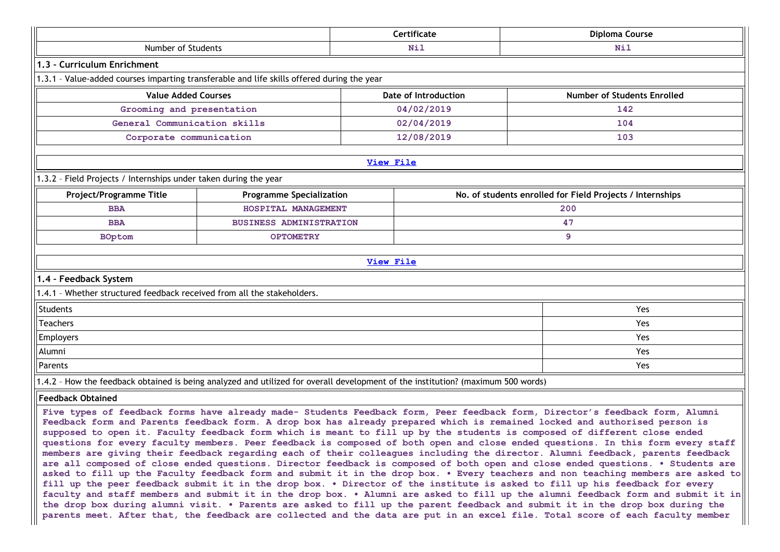|                                                                                                 |                                                                                                                                  | Certificate      | Diploma Course                                                                                                                                                                                                                                                                                                                                                                                                                                                                                                                                                                                                                                                                                                                                                                                  |  |
|-------------------------------------------------------------------------------------------------|----------------------------------------------------------------------------------------------------------------------------------|------------------|-------------------------------------------------------------------------------------------------------------------------------------------------------------------------------------------------------------------------------------------------------------------------------------------------------------------------------------------------------------------------------------------------------------------------------------------------------------------------------------------------------------------------------------------------------------------------------------------------------------------------------------------------------------------------------------------------------------------------------------------------------------------------------------------------|--|
| Number of Students                                                                              |                                                                                                                                  | Nil              | Nil                                                                                                                                                                                                                                                                                                                                                                                                                                                                                                                                                                                                                                                                                                                                                                                             |  |
| 1.3 - Curriculum Enrichment                                                                     |                                                                                                                                  |                  |                                                                                                                                                                                                                                                                                                                                                                                                                                                                                                                                                                                                                                                                                                                                                                                                 |  |
|                                                                                                 | 1.3.1 - Value-added courses imparting transferable and life skills offered during the year                                       |                  |                                                                                                                                                                                                                                                                                                                                                                                                                                                                                                                                                                                                                                                                                                                                                                                                 |  |
| <b>Value Added Courses</b><br><b>Date of Introduction</b><br><b>Number of Students Enrolled</b> |                                                                                                                                  |                  |                                                                                                                                                                                                                                                                                                                                                                                                                                                                                                                                                                                                                                                                                                                                                                                                 |  |
| Grooming and presentation                                                                       |                                                                                                                                  | 04/02/2019       | 142                                                                                                                                                                                                                                                                                                                                                                                                                                                                                                                                                                                                                                                                                                                                                                                             |  |
| General Communication skills                                                                    |                                                                                                                                  | 02/04/2019       | 104                                                                                                                                                                                                                                                                                                                                                                                                                                                                                                                                                                                                                                                                                                                                                                                             |  |
| Corporate communication                                                                         |                                                                                                                                  | 12/08/2019       | 103                                                                                                                                                                                                                                                                                                                                                                                                                                                                                                                                                                                                                                                                                                                                                                                             |  |
|                                                                                                 |                                                                                                                                  | <b>View File</b> |                                                                                                                                                                                                                                                                                                                                                                                                                                                                                                                                                                                                                                                                                                                                                                                                 |  |
|                                                                                                 |                                                                                                                                  |                  |                                                                                                                                                                                                                                                                                                                                                                                                                                                                                                                                                                                                                                                                                                                                                                                                 |  |
| 1.3.2 - Field Projects / Internships under taken during the year                                |                                                                                                                                  |                  |                                                                                                                                                                                                                                                                                                                                                                                                                                                                                                                                                                                                                                                                                                                                                                                                 |  |
| Project/Programme Title                                                                         | <b>Programme Specialization</b>                                                                                                  |                  | No. of students enrolled for Field Projects / Internships                                                                                                                                                                                                                                                                                                                                                                                                                                                                                                                                                                                                                                                                                                                                       |  |
| <b>BBA</b><br><b>BBA</b>                                                                        | HOSPITAL MANAGEMENT<br><b>BUSINESS ADMINISTRATION</b>                                                                            |                  | 200<br>47                                                                                                                                                                                                                                                                                                                                                                                                                                                                                                                                                                                                                                                                                                                                                                                       |  |
| <b>BOptom</b>                                                                                   | <b>OPTOMETRY</b>                                                                                                                 |                  | 9                                                                                                                                                                                                                                                                                                                                                                                                                                                                                                                                                                                                                                                                                                                                                                                               |  |
|                                                                                                 |                                                                                                                                  |                  |                                                                                                                                                                                                                                                                                                                                                                                                                                                                                                                                                                                                                                                                                                                                                                                                 |  |
|                                                                                                 |                                                                                                                                  | <b>View File</b> |                                                                                                                                                                                                                                                                                                                                                                                                                                                                                                                                                                                                                                                                                                                                                                                                 |  |
| 1.4 - Feedback System                                                                           |                                                                                                                                  |                  |                                                                                                                                                                                                                                                                                                                                                                                                                                                                                                                                                                                                                                                                                                                                                                                                 |  |
| 1.4.1 - Whether structured feedback received from all the stakeholders.                         |                                                                                                                                  |                  |                                                                                                                                                                                                                                                                                                                                                                                                                                                                                                                                                                                                                                                                                                                                                                                                 |  |
| Students                                                                                        |                                                                                                                                  |                  | Yes                                                                                                                                                                                                                                                                                                                                                                                                                                                                                                                                                                                                                                                                                                                                                                                             |  |
| <b>Teachers</b>                                                                                 |                                                                                                                                  |                  | Yes                                                                                                                                                                                                                                                                                                                                                                                                                                                                                                                                                                                                                                                                                                                                                                                             |  |
| Employers                                                                                       |                                                                                                                                  |                  | Yes                                                                                                                                                                                                                                                                                                                                                                                                                                                                                                                                                                                                                                                                                                                                                                                             |  |
| Alumni                                                                                          |                                                                                                                                  |                  | Yes                                                                                                                                                                                                                                                                                                                                                                                                                                                                                                                                                                                                                                                                                                                                                                                             |  |
| Parents                                                                                         |                                                                                                                                  |                  | Yes                                                                                                                                                                                                                                                                                                                                                                                                                                                                                                                                                                                                                                                                                                                                                                                             |  |
|                                                                                                 | 1.4.2 - How the feedback obtained is being analyzed and utilized for overall development of the institution? (maximum 500 words) |                  |                                                                                                                                                                                                                                                                                                                                                                                                                                                                                                                                                                                                                                                                                                                                                                                                 |  |
| <b>Feedback Obtained</b>                                                                        |                                                                                                                                  |                  |                                                                                                                                                                                                                                                                                                                                                                                                                                                                                                                                                                                                                                                                                                                                                                                                 |  |
|                                                                                                 |                                                                                                                                  |                  | Five types of feedback forms have already made- Students Feedback form, Peer feedback form, Director's feedback form, Alumni<br>Feedback form and Parents feedback form. A drop box has already prepared which is remained locked and authorised person is<br>supposed to open it. Faculty feedback form which is meant to fill up by the students is composed of different close ended<br>questions for every faculty members. Peer feedback is composed of both open and close ended questions. In this form every staff<br>members are giving their feedback regarding each of their colleagues including the director. Alumni feedback, parents feedback<br>are all composed of close ended questions. Director feedback is composed of both open and close ended questions. . Students are |  |

asked to fill up the Faculty feedback form and submit it in the drop box. . Every teachers and non teaching members are asked to fill up the peer feedback submit it in the drop box. • Director of the institute is asked to fill up his feedback for every faculty and staff members and submit it in the drop box. • Alumni are asked to fill up the alumni feedback form and submit it in the drop box during alumni visit. • Parents are asked to fill up the parent feedback and submit it in the drop box during the parents meet. After that, the feedback are collected and the data are put in an excel file. Total score of each faculty member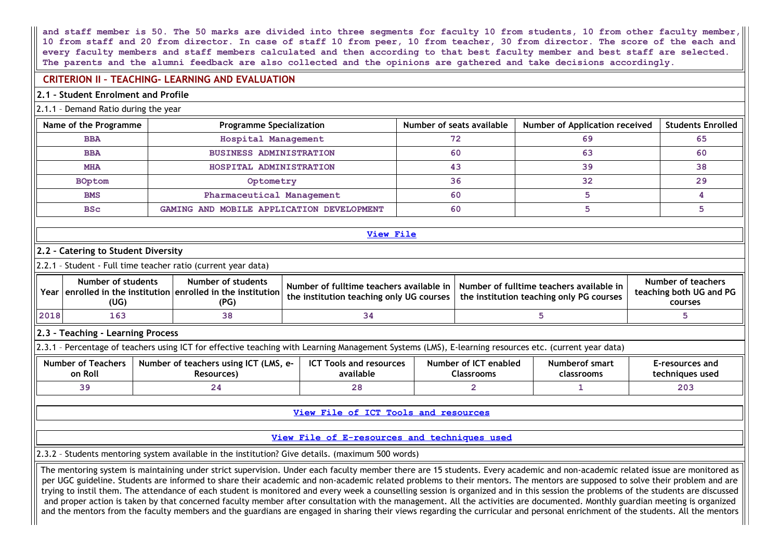and staff member is 50. The 50 marks are divided into three segments for faculty 10 from students, 10 from other faculty member, 10 from staff and 20 from director. In case of staff 10 from peer, 10 from teacher, 30 from director. The score of the each and every faculty members and staff members calculated and then according to that best faculty member and best staff are selected. The parents and the alumni feedback are also collected and the opinions are gathered and take decisions accordingly.

# CRITERION II – TEACHING- LEARNING AND EVALUATION

### 2.1 – Student Enrolment and Profile

#### 2.1.1 – Demand Ratio during the year

| Name of the Programme | <b>Programme Specialization</b>           | Number of seats available | Number of Application received | <b>Students Enrolled</b> |
|-----------------------|-------------------------------------------|---------------------------|--------------------------------|--------------------------|
| <b>BBA</b>            | Hospital Management                       | 72                        | 69                             | 65                       |
| <b>BBA</b>            | <b>BUSINESS ADMINISTRATION</b>            | 60                        | 63                             | 60                       |
| <b>MHA</b>            | HOSPITAL ADMINISTRATION                   | 43                        | 39                             | 38                       |
| BOptom                | Optometry                                 | 36                        | 32                             | 29                       |
| <b>BMS</b>            | Pharmaceutical Management                 | 60                        |                                |                          |
| <b>BSc</b>            | GAMING AND MOBILE APPLICATION DEVELOPMENT | 60                        |                                |                          |

#### View [File](https://assessmentonline.naac.gov.in/public/Postacc/Demand_ratio/3243_Demand_ratio_1581933168.xlsx)

## 2.2 – Catering to Student Diversity

2.2.1 – Student - Full time teacher ratio (current year data)

|      | Number of students<br>Year lenrolled in the institution lenrolled in the institution<br>(UG) | Number of students<br>(PG) | the institution teaching only UG courses | Number of fulltime teachers available in $\vert$ Number of fulltime teachers available in<br>$\mid$ the institution teaching only PG courses $\mid$ | Number of teachers<br>teaching both UG and PG<br>courses |
|------|----------------------------------------------------------------------------------------------|----------------------------|------------------------------------------|-----------------------------------------------------------------------------------------------------------------------------------------------------|----------------------------------------------------------|
| 2018 | 163                                                                                          | 38                         |                                          |                                                                                                                                                     |                                                          |

### 2.3 – Teaching - Learning Process

2.3.1 – Percentage of teachers using ICT for effective teaching with Learning Management Systems (LMS), E-learning resources etc. (current year data)

| <b>Number of Teachers</b><br>on Roll | <b>UMS.</b><br>Number of teachers using ICT<br><b>P-</b><br><b>Resources</b> | CTT<br><b>Tools and resources</b><br>י<br>available | Number of ICT<br>enabled<br>Classrooms | Numberof smart<br>classrooms | E-resources and<br>techniques used |
|--------------------------------------|------------------------------------------------------------------------------|-----------------------------------------------------|----------------------------------------|------------------------------|------------------------------------|
|                                      |                                                                              |                                                     |                                        |                              | 203                                |

View File of ICT Tools and [resources](https://assessmentonline.naac.gov.in/public/Postacc/ict_tools/3243_ict_tools_1581934480.xlsx)

### View File of [E-resources](https://assessmentonline.naac.gov.in/public/Postacc/e_resource/3243_e_resource_1581934485.xlsx) and techniques used

2.3.2 – Students mentoring system available in the institution? Give details. (maximum 500 words)

The mentoring system is maintaining under strict supervision. Under each faculty member there are 15 students. Every academic and non-academic related issue are monitored as per UGC guideline. Students are informed to share their academic and non-academic related problems to their mentors. The mentors are supposed to solve their problem and are trying to instil them. The attendance of each student is monitored and every week a counselling session is organized and in this session the problems of the students are discussed and proper action is taken by that concerned faculty member after consultation with the management. All the activities are documented. Monthly guardian meeting is organized and the mentors from the faculty members and the guardians are engaged in sharing their views regarding the curricular and personal enrichment of the students. All the mentors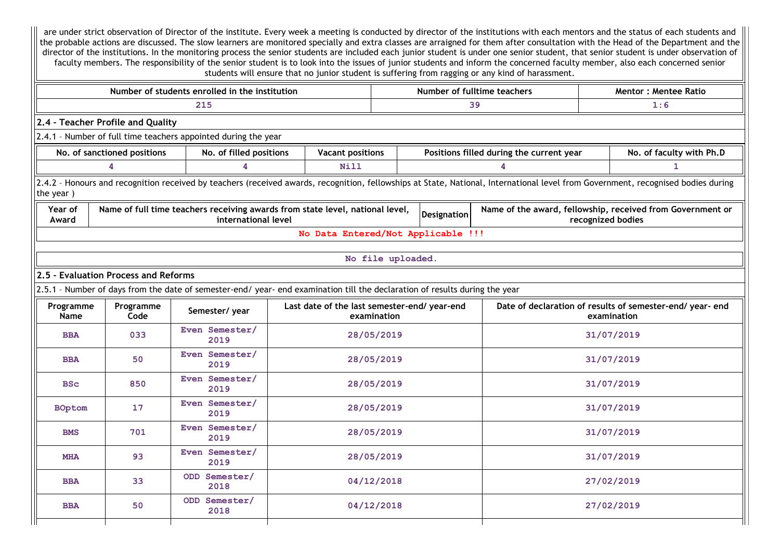are under strict observation of Director of the institute. Every week a meeting is conducted by director of the institutions with each mentors and the status of each students and the probable actions are discussed. The slow learners are monitored specially and extra classes are arraigned for them after consultation with the Head of the Department and the director of the institutions. In the monitoring process the senior students are included each junior student is under one senior student, that senior student is under observation of faculty members. The responsibility of the senior student is to look into the issues of junior students and inform the concerned faculty member, also each concerned senior students will ensure that no junior student is suffering from ragging or any kind of harassment.

| Number of students enrolled in the institution<br>Number of fulltime teachers<br><b>Mentor: Mentee Ratio</b>                                                                                                                      |                             |                         |                                                                                                                             |                   |  |                                          |  |                                                           |  |  |  |
|-----------------------------------------------------------------------------------------------------------------------------------------------------------------------------------------------------------------------------------|-----------------------------|-------------------------|-----------------------------------------------------------------------------------------------------------------------------|-------------------|--|------------------------------------------|--|-----------------------------------------------------------|--|--|--|
|                                                                                                                                                                                                                                   |                             | 215                     |                                                                                                                             |                   |  | 39                                       |  | 1:6                                                       |  |  |  |
| 2.4 - Teacher Profile and Quality                                                                                                                                                                                                 |                             |                         |                                                                                                                             |                   |  |                                          |  |                                                           |  |  |  |
| 2.4.1 - Number of full time teachers appointed during the year                                                                                                                                                                    |                             |                         |                                                                                                                             |                   |  |                                          |  |                                                           |  |  |  |
|                                                                                                                                                                                                                                   | No. of sanctioned positions | No. of filled positions | <b>Vacant positions</b>                                                                                                     |                   |  | Positions filled during the current year |  | No. of faculty with Ph.D                                  |  |  |  |
|                                                                                                                                                                                                                                   | 4                           | 4                       | Nill                                                                                                                        |                   |  | 4                                        |  | $\mathbf{1}$                                              |  |  |  |
| 2.4.2 - Honours and recognition received by teachers (received awards, recognition, fellowships at State, National, International level from Government, recognised bodies during<br>the year)                                    |                             |                         |                                                                                                                             |                   |  |                                          |  |                                                           |  |  |  |
| Year of<br>Name of full time teachers receiving awards from state level, national level,<br>Name of the award, fellowship, received from Government or<br><b>Designation</b><br>international level<br>recognized bodies<br>Award |                             |                         |                                                                                                                             |                   |  |                                          |  |                                                           |  |  |  |
|                                                                                                                                                                                                                                   |                             |                         | No Data Entered/Not Applicable !!!                                                                                          |                   |  |                                          |  |                                                           |  |  |  |
|                                                                                                                                                                                                                                   |                             |                         |                                                                                                                             | No file uploaded. |  |                                          |  |                                                           |  |  |  |
| 2.5 - Evaluation Process and Reforms                                                                                                                                                                                              |                             |                         |                                                                                                                             |                   |  |                                          |  |                                                           |  |  |  |
|                                                                                                                                                                                                                                   |                             |                         | 2.5.1 - Number of days from the date of semester-end/ year- end examination till the declaration of results during the year |                   |  |                                          |  |                                                           |  |  |  |
| Programme                                                                                                                                                                                                                         | Programme                   |                         | Last date of the last semester-end/ year-end                                                                                |                   |  |                                          |  | Date of declaration of results of semester-end/ year- end |  |  |  |
| Name                                                                                                                                                                                                                              | Code                        | Semester/year           |                                                                                                                             | examination       |  |                                          |  | examination                                               |  |  |  |
| <b>BBA</b>                                                                                                                                                                                                                        | 033                         | Even Semester/<br>2019  |                                                                                                                             | 28/05/2019        |  |                                          |  | 31/07/2019                                                |  |  |  |
| <b>BBA</b>                                                                                                                                                                                                                        | 50                          | Even Semester/<br>2019  |                                                                                                                             | 28/05/2019        |  |                                          |  | 31/07/2019                                                |  |  |  |
| <b>BSc</b>                                                                                                                                                                                                                        | 850                         | Even Semester/<br>2019  |                                                                                                                             | 28/05/2019        |  |                                          |  | 31/07/2019                                                |  |  |  |
| <b>BOptom</b>                                                                                                                                                                                                                     | 17                          | Even Semester/<br>2019  |                                                                                                                             | 28/05/2019        |  |                                          |  | 31/07/2019                                                |  |  |  |
| Even Semester/<br>701<br>28/05/2019<br>31/07/2019<br><b>BMS</b><br>2019                                                                                                                                                           |                             |                         |                                                                                                                             |                   |  |                                          |  |                                                           |  |  |  |
| <b>MHA</b>                                                                                                                                                                                                                        | 93                          | Even Semester/<br>2019  |                                                                                                                             | 28/05/2019        |  |                                          |  | 31/07/2019                                                |  |  |  |
| <b>BBA</b>                                                                                                                                                                                                                        | 33                          | ODD Semester/<br>2018   |                                                                                                                             | 04/12/2018        |  |                                          |  | 27/02/2019                                                |  |  |  |
| <b>BBA</b>                                                                                                                                                                                                                        | 50                          | ODD Semester/<br>2018   |                                                                                                                             | 04/12/2018        |  |                                          |  | 27/02/2019                                                |  |  |  |
|                                                                                                                                                                                                                                   |                             |                         |                                                                                                                             |                   |  |                                          |  |                                                           |  |  |  |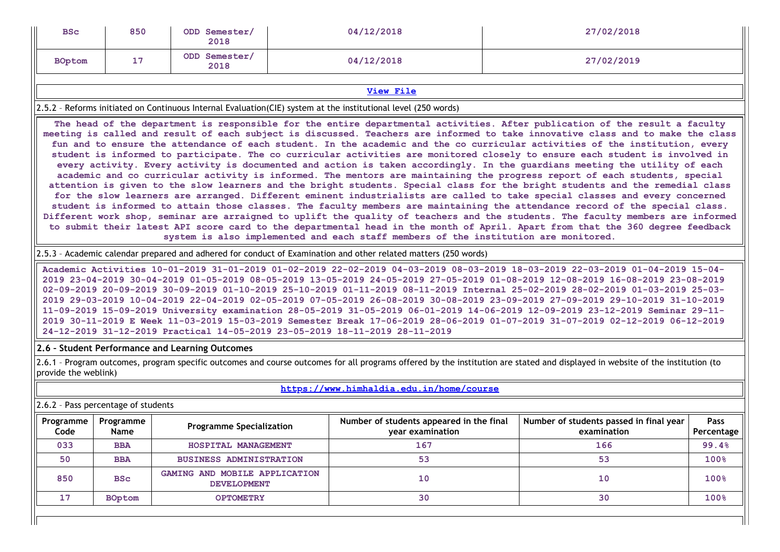| <b>BSc</b>                          | 850                                                                                                                                                                                                                                                                                                                                                                                                                                                                                                                                                                                                                                                                                                                                                                                                                                                                                                                                                                                                                                                                                                                                                                                                                                                                                                                                                                                                                                                                                                                                                   | ODD Semester/<br>2018                               |  | 04/12/2018                                                                                                     |  | 27/02/2018                                                                                                                                                                                                                                                                                                                                                                                                                                                                                                                                                                                                                                                                                                                                                                                         |       |  |  |  |  |
|-------------------------------------|-------------------------------------------------------------------------------------------------------------------------------------------------------------------------------------------------------------------------------------------------------------------------------------------------------------------------------------------------------------------------------------------------------------------------------------------------------------------------------------------------------------------------------------------------------------------------------------------------------------------------------------------------------------------------------------------------------------------------------------------------------------------------------------------------------------------------------------------------------------------------------------------------------------------------------------------------------------------------------------------------------------------------------------------------------------------------------------------------------------------------------------------------------------------------------------------------------------------------------------------------------------------------------------------------------------------------------------------------------------------------------------------------------------------------------------------------------------------------------------------------------------------------------------------------------|-----------------------------------------------------|--|----------------------------------------------------------------------------------------------------------------|--|----------------------------------------------------------------------------------------------------------------------------------------------------------------------------------------------------------------------------------------------------------------------------------------------------------------------------------------------------------------------------------------------------------------------------------------------------------------------------------------------------------------------------------------------------------------------------------------------------------------------------------------------------------------------------------------------------------------------------------------------------------------------------------------------------|-------|--|--|--|--|
| <b>BOptom</b>                       | 17                                                                                                                                                                                                                                                                                                                                                                                                                                                                                                                                                                                                                                                                                                                                                                                                                                                                                                                                                                                                                                                                                                                                                                                                                                                                                                                                                                                                                                                                                                                                                    | ODD Semester/<br>2018                               |  | 04/12/2018                                                                                                     |  | 27/02/2019                                                                                                                                                                                                                                                                                                                                                                                                                                                                                                                                                                                                                                                                                                                                                                                         |       |  |  |  |  |
|                                     | <b>View File</b>                                                                                                                                                                                                                                                                                                                                                                                                                                                                                                                                                                                                                                                                                                                                                                                                                                                                                                                                                                                                                                                                                                                                                                                                                                                                                                                                                                                                                                                                                                                                      |                                                     |  |                                                                                                                |  |                                                                                                                                                                                                                                                                                                                                                                                                                                                                                                                                                                                                                                                                                                                                                                                                    |       |  |  |  |  |
|                                     |                                                                                                                                                                                                                                                                                                                                                                                                                                                                                                                                                                                                                                                                                                                                                                                                                                                                                                                                                                                                                                                                                                                                                                                                                                                                                                                                                                                                                                                                                                                                                       |                                                     |  | 2.5.2 - Reforms initiated on Continuous Internal Evaluation(CIE) system at the institutional level (250 words) |  |                                                                                                                                                                                                                                                                                                                                                                                                                                                                                                                                                                                                                                                                                                                                                                                                    |       |  |  |  |  |
|                                     | The head of the department is responsible for the entire departmental activities. After publication of the result a faculty<br>meeting is called and result of each subject is discussed. Teachers are informed to take innovative class and to make the class<br>fun and to ensure the attendance of each student. In the academic and the co curricular activities of the institution, every<br>student is informed to participate. The co curricular activities are monitored closely to ensure each student is involved in<br>every activity. Every activity is documented and action is taken accordingly. In the guardians meeting the utility of each<br>academic and co curricular activity is informed. The mentors are maintaining the progress report of each students, special<br>attention is given to the slow learners and the bright students. Special class for the bright students and the remedial class<br>for the slow learners are arranged. Different eminent industrialists are called to take special classes and every concerned<br>student is informed to attain those classes. The faculty members are maintaining the attendance record of the special class.<br>Different work shop, seminar are arraigned to uplift the quality of teachers and the students. The faculty members are informed<br>to submit their latest API score card to the departmental head in the month of April. Apart from that the 360 degree feedback<br>system is also implemented and each staff members of the institution are monitored. |                                                     |  |                                                                                                                |  |                                                                                                                                                                                                                                                                                                                                                                                                                                                                                                                                                                                                                                                                                                                                                                                                    |       |  |  |  |  |
|                                     | 2.5.3 - Academic calendar prepared and adhered for conduct of Examination and other related matters (250 words)                                                                                                                                                                                                                                                                                                                                                                                                                                                                                                                                                                                                                                                                                                                                                                                                                                                                                                                                                                                                                                                                                                                                                                                                                                                                                                                                                                                                                                       |                                                     |  |                                                                                                                |  |                                                                                                                                                                                                                                                                                                                                                                                                                                                                                                                                                                                                                                                                                                                                                                                                    |       |  |  |  |  |
|                                     |                                                                                                                                                                                                                                                                                                                                                                                                                                                                                                                                                                                                                                                                                                                                                                                                                                                                                                                                                                                                                                                                                                                                                                                                                                                                                                                                                                                                                                                                                                                                                       |                                                     |  | 24-12-2019 31-12-2019 Practical 14-05-2019 23-05-2019 18-11-2019 28-11-2019                                    |  | Academic Activities 10-01-2019 31-01-2019 01-02-2019 22-02-2019 04-03-2019 08-03-2019 18-03-2019 22-03-2019 01-04-2019 15-04-<br>2019 23-04-2019 30-04-2019 01-05-2019 08-05-2019 13-05-2019 24-05-2019 27-05-2019 01-08-2019 12-08-2019 16-08-2019 23-08-2019<br>02-09-2019 20-09-2019 30-09-2019 01-10-2019 25-10-2019 01-11-2019 08-11-2019 Internal 25-02-2019 28-02-2019 01-03-2019 25-03-<br>2019 29-03-2019 10-04-2019 22-04-2019 02-05-2019 07-05-2019 26-08-2019 30-08-2019 23-09-2019 27-09-2019 29-10-2019 31-10-2019<br>11-09-2019 15-09-2019 University examination 28-05-2019 31-05-2019 06-01-2019 14-06-2019 12-09-2019 23-12-2019 Seminar 29-11-<br>2019 30-11-2019 E Week 11-03-2019 15-03-2019 Semester Break 17-06-2019 28-06-2019 01-07-2019 31-07-2019 02-12-2019 06-12-2019 |       |  |  |  |  |
|                                     |                                                                                                                                                                                                                                                                                                                                                                                                                                                                                                                                                                                                                                                                                                                                                                                                                                                                                                                                                                                                                                                                                                                                                                                                                                                                                                                                                                                                                                                                                                                                                       | 2.6 - Student Performance and Learning Outcomes     |  |                                                                                                                |  |                                                                                                                                                                                                                                                                                                                                                                                                                                                                                                                                                                                                                                                                                                                                                                                                    |       |  |  |  |  |
| provide the weblink)                |                                                                                                                                                                                                                                                                                                                                                                                                                                                                                                                                                                                                                                                                                                                                                                                                                                                                                                                                                                                                                                                                                                                                                                                                                                                                                                                                                                                                                                                                                                                                                       |                                                     |  |                                                                                                                |  | 2.6.1 - Program outcomes, program specific outcomes and course outcomes for all programs offered by the institution are stated and displayed in website of the institution (to                                                                                                                                                                                                                                                                                                                                                                                                                                                                                                                                                                                                                     |       |  |  |  |  |
|                                     |                                                                                                                                                                                                                                                                                                                                                                                                                                                                                                                                                                                                                                                                                                                                                                                                                                                                                                                                                                                                                                                                                                                                                                                                                                                                                                                                                                                                                                                                                                                                                       |                                                     |  | https://www.himhaldia.edu.in/home/course                                                                       |  |                                                                                                                                                                                                                                                                                                                                                                                                                                                                                                                                                                                                                                                                                                                                                                                                    |       |  |  |  |  |
| 2.6.2 - Pass percentage of students |                                                                                                                                                                                                                                                                                                                                                                                                                                                                                                                                                                                                                                                                                                                                                                                                                                                                                                                                                                                                                                                                                                                                                                                                                                                                                                                                                                                                                                                                                                                                                       |                                                     |  |                                                                                                                |  |                                                                                                                                                                                                                                                                                                                                                                                                                                                                                                                                                                                                                                                                                                                                                                                                    |       |  |  |  |  |
| Programme<br>Code                   | Number of students appeared in the final<br>Number of students passed in final year<br>Programme<br><b>Pass</b><br><b>Programme Specialization</b><br>Name<br>year examination<br>examination<br>Percentage                                                                                                                                                                                                                                                                                                                                                                                                                                                                                                                                                                                                                                                                                                                                                                                                                                                                                                                                                                                                                                                                                                                                                                                                                                                                                                                                           |                                                     |  |                                                                                                                |  |                                                                                                                                                                                                                                                                                                                                                                                                                                                                                                                                                                                                                                                                                                                                                                                                    |       |  |  |  |  |
| 033                                 | <b>BBA</b>                                                                                                                                                                                                                                                                                                                                                                                                                                                                                                                                                                                                                                                                                                                                                                                                                                                                                                                                                                                                                                                                                                                                                                                                                                                                                                                                                                                                                                                                                                                                            | HOSPITAL MANAGEMENT                                 |  | 167                                                                                                            |  | 166                                                                                                                                                                                                                                                                                                                                                                                                                                                                                                                                                                                                                                                                                                                                                                                                | 99.4% |  |  |  |  |
| 50                                  | <b>BBA</b>                                                                                                                                                                                                                                                                                                                                                                                                                                                                                                                                                                                                                                                                                                                                                                                                                                                                                                                                                                                                                                                                                                                                                                                                                                                                                                                                                                                                                                                                                                                                            | <b>BUSINESS ADMINISTRATION</b>                      |  | 53                                                                                                             |  | 53                                                                                                                                                                                                                                                                                                                                                                                                                                                                                                                                                                                                                                                                                                                                                                                                 | 100%  |  |  |  |  |
| 850                                 | <b>BSc</b>                                                                                                                                                                                                                                                                                                                                                                                                                                                                                                                                                                                                                                                                                                                                                                                                                                                                                                                                                                                                                                                                                                                                                                                                                                                                                                                                                                                                                                                                                                                                            | GAMING AND MOBILE APPLICATION<br><b>DEVELOPMENT</b> |  | 10                                                                                                             |  | 10                                                                                                                                                                                                                                                                                                                                                                                                                                                                                                                                                                                                                                                                                                                                                                                                 | 100%  |  |  |  |  |
| 17                                  | <b>BOptom</b>                                                                                                                                                                                                                                                                                                                                                                                                                                                                                                                                                                                                                                                                                                                                                                                                                                                                                                                                                                                                                                                                                                                                                                                                                                                                                                                                                                                                                                                                                                                                         | <b>OPTOMETRY</b>                                    |  | 30                                                                                                             |  | 30                                                                                                                                                                                                                                                                                                                                                                                                                                                                                                                                                                                                                                                                                                                                                                                                 | 100%  |  |  |  |  |
|                                     |                                                                                                                                                                                                                                                                                                                                                                                                                                                                                                                                                                                                                                                                                                                                                                                                                                                                                                                                                                                                                                                                                                                                                                                                                                                                                                                                                                                                                                                                                                                                                       |                                                     |  |                                                                                                                |  |                                                                                                                                                                                                                                                                                                                                                                                                                                                                                                                                                                                                                                                                                                                                                                                                    |       |  |  |  |  |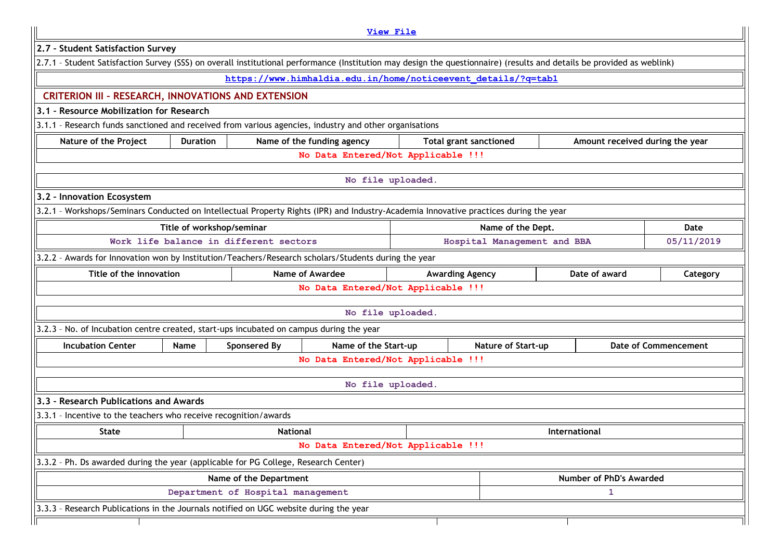|                                                                                                                                                                        |                                                                                                          |                        | <b>View File</b>                                              |  |                               |  |                         |                                 |  |
|------------------------------------------------------------------------------------------------------------------------------------------------------------------------|----------------------------------------------------------------------------------------------------------|------------------------|---------------------------------------------------------------|--|-------------------------------|--|-------------------------|---------------------------------|--|
| 2.7 - Student Satisfaction Survey                                                                                                                                      |                                                                                                          |                        |                                                               |  |                               |  |                         |                                 |  |
| 2.7.1 - Student Satisfaction Survey (SSS) on overall institutional performance (Institution may design the questionnaire) (results and details be provided as weblink) |                                                                                                          |                        |                                                               |  |                               |  |                         |                                 |  |
|                                                                                                                                                                        |                                                                                                          |                        | https://www.himhaldia.edu.in/home/noticeevent details/?g=tabl |  |                               |  |                         |                                 |  |
| <b>CRITERION III - RESEARCH, INNOVATIONS AND EXTENSION</b>                                                                                                             |                                                                                                          |                        |                                                               |  |                               |  |                         |                                 |  |
| 3.1 - Resource Mobilization for Research                                                                                                                               |                                                                                                          |                        |                                                               |  |                               |  |                         |                                 |  |
| 3.1.1 - Research funds sanctioned and received from various agencies, industry and other organisations                                                                 |                                                                                                          |                        |                                                               |  |                               |  |                         |                                 |  |
| Nature of the Project                                                                                                                                                  | <b>Duration</b>                                                                                          |                        | Name of the funding agency                                    |  | <b>Total grant sanctioned</b> |  |                         | Amount received during the year |  |
|                                                                                                                                                                        |                                                                                                          |                        | No Data Entered/Not Applicable !!!                            |  |                               |  |                         |                                 |  |
|                                                                                                                                                                        |                                                                                                          |                        | No file uploaded.                                             |  |                               |  |                         |                                 |  |
| 3.2 - Innovation Ecosystem                                                                                                                                             |                                                                                                          |                        |                                                               |  |                               |  |                         |                                 |  |
| 3.2.1 - Workshops/Seminars Conducted on Intellectual Property Rights (IPR) and Industry-Academia Innovative practices during the year                                  |                                                                                                          |                        |                                                               |  |                               |  |                         |                                 |  |
|                                                                                                                                                                        | Title of workshop/seminar                                                                                |                        |                                                               |  | Name of the Dept.             |  |                         | Date                            |  |
| Work life balance in different sectors<br>Hospital Management and BBA<br>05/11/2019                                                                                    |                                                                                                          |                        |                                                               |  |                               |  |                         |                                 |  |
| 3.2.2 - Awards for Innovation won by Institution/Teachers/Research scholars/Students during the year                                                                   |                                                                                                          |                        |                                                               |  |                               |  |                         |                                 |  |
|                                                                                                                                                                        | Title of the innovation<br><b>Name of Awardee</b><br><b>Awarding Agency</b><br>Date of award<br>Category |                        |                                                               |  |                               |  |                         |                                 |  |
|                                                                                                                                                                        |                                                                                                          |                        | No Data Entered/Not Applicable !!!                            |  |                               |  |                         |                                 |  |
|                                                                                                                                                                        |                                                                                                          |                        | No file uploaded.                                             |  |                               |  |                         |                                 |  |
| 3.2.3 - No. of Incubation centre created, start-ups incubated on campus during the year                                                                                |                                                                                                          |                        |                                                               |  |                               |  |                         |                                 |  |
| <b>Incubation Center</b>                                                                                                                                               | <b>Name</b>                                                                                              | Sponsered By           | Name of the Start-up                                          |  | Nature of Start-up            |  |                         | <b>Date of Commencement</b>     |  |
|                                                                                                                                                                        |                                                                                                          |                        | No Data Entered/Not Applicable !!!                            |  |                               |  |                         |                                 |  |
|                                                                                                                                                                        |                                                                                                          |                        |                                                               |  |                               |  |                         |                                 |  |
|                                                                                                                                                                        |                                                                                                          |                        | No file uploaded.                                             |  |                               |  |                         |                                 |  |
| 3.3 - Research Publications and Awards                                                                                                                                 |                                                                                                          |                        |                                                               |  |                               |  |                         |                                 |  |
| 3.3.1 - Incentive to the teachers who receive recognition/awards                                                                                                       |                                                                                                          |                        |                                                               |  |                               |  |                         |                                 |  |
| <b>State</b><br><b>National</b><br>International                                                                                                                       |                                                                                                          |                        |                                                               |  |                               |  |                         |                                 |  |
|                                                                                                                                                                        |                                                                                                          |                        | No Data Entered/Not Applicable !!!                            |  |                               |  |                         |                                 |  |
| 3.3.2 - Ph. Ds awarded during the year (applicable for PG College, Research Center)                                                                                    |                                                                                                          |                        |                                                               |  |                               |  |                         |                                 |  |
|                                                                                                                                                                        |                                                                                                          | Name of the Department |                                                               |  |                               |  | Number of PhD's Awarded |                                 |  |
|                                                                                                                                                                        | Department of Hospital management<br>1                                                                   |                        |                                                               |  |                               |  |                         |                                 |  |
| 3.3.3 - Research Publications in the Journals notified on UGC website during the year                                                                                  |                                                                                                          |                        |                                                               |  |                               |  |                         |                                 |  |
|                                                                                                                                                                        |                                                                                                          |                        |                                                               |  |                               |  |                         |                                 |  |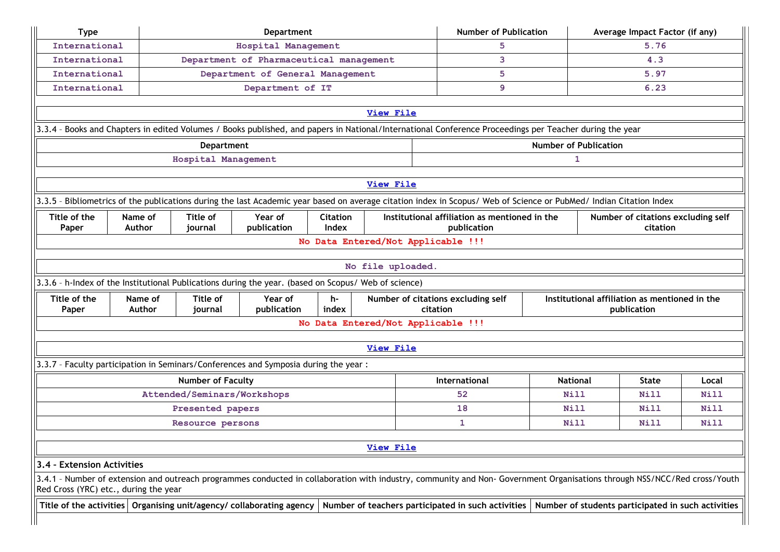| <b>Type</b>                                                                                                                                                                                                                                      |         |                                         | <b>Department</b>                                                                                    |       |                                    | <b>Number of Publication</b>                                                                                                                                              |                 |  | Average Impact Factor (if any)                     |       |
|--------------------------------------------------------------------------------------------------------------------------------------------------------------------------------------------------------------------------------------------------|---------|-----------------------------------------|------------------------------------------------------------------------------------------------------|-------|------------------------------------|---------------------------------------------------------------------------------------------------------------------------------------------------------------------------|-----------------|--|----------------------------------------------------|-------|
| International                                                                                                                                                                                                                                    |         |                                         | 5                                                                                                    |       |                                    | 5.76                                                                                                                                                                      |                 |  |                                                    |       |
| International                                                                                                                                                                                                                                    |         | Department of Pharmaceutical management |                                                                                                      | 3     |                                    |                                                                                                                                                                           | 4.3             |  |                                                    |       |
| International                                                                                                                                                                                                                                    |         |                                         | Department of General Management                                                                     |       |                                    | 5                                                                                                                                                                         |                 |  | 5.97                                               |       |
| International                                                                                                                                                                                                                                    |         |                                         | Department of IT                                                                                     |       |                                    | 9                                                                                                                                                                         |                 |  | 6.23                                               |       |
|                                                                                                                                                                                                                                                  |         |                                         |                                                                                                      |       |                                    |                                                                                                                                                                           |                 |  |                                                    |       |
|                                                                                                                                                                                                                                                  |         |                                         |                                                                                                      |       | <b>View File</b>                   |                                                                                                                                                                           |                 |  |                                                    |       |
|                                                                                                                                                                                                                                                  |         |                                         |                                                                                                      |       |                                    | 3.3.4 - Books and Chapters in edited Volumes / Books published, and papers in National/International Conference Proceedings per Teacher during the year                   |                 |  |                                                    |       |
| <b>Number of Publication</b><br>Department                                                                                                                                                                                                       |         |                                         |                                                                                                      |       |                                    |                                                                                                                                                                           |                 |  |                                                    |       |
| Hospital Management<br>1                                                                                                                                                                                                                         |         |                                         |                                                                                                      |       |                                    |                                                                                                                                                                           |                 |  |                                                    |       |
|                                                                                                                                                                                                                                                  |         |                                         |                                                                                                      |       | View File                          |                                                                                                                                                                           |                 |  |                                                    |       |
|                                                                                                                                                                                                                                                  |         |                                         |                                                                                                      |       |                                    |                                                                                                                                                                           |                 |  |                                                    |       |
|                                                                                                                                                                                                                                                  |         |                                         |                                                                                                      |       |                                    | 3.3.5 - Bibliometrics of the publications during the last Academic year based on average citation index in Scopus/ Web of Science or PubMed/ Indian Citation Index        |                 |  |                                                    |       |
| Title of<br>Institutional affiliation as mentioned in the<br>Title of the<br>Name of<br>Year of<br><b>Citation</b><br>Number of citations excluding self<br>Index<br><b>Author</b><br>publication<br>publication<br>citation<br>Paper<br>journal |         |                                         |                                                                                                      |       |                                    |                                                                                                                                                                           |                 |  |                                                    |       |
| No Data Entered/Not Applicable !!!                                                                                                                                                                                                               |         |                                         |                                                                                                      |       |                                    |                                                                                                                                                                           |                 |  |                                                    |       |
|                                                                                                                                                                                                                                                  |         |                                         |                                                                                                      |       |                                    |                                                                                                                                                                           |                 |  |                                                    |       |
|                                                                                                                                                                                                                                                  |         |                                         |                                                                                                      |       | No file uploaded.                  |                                                                                                                                                                           |                 |  |                                                    |       |
|                                                                                                                                                                                                                                                  |         |                                         | 3.3.6 - h-Index of the Institutional Publications during the year. (based on Scopus/ Web of science) |       |                                    |                                                                                                                                                                           |                 |  |                                                    |       |
| Title of the                                                                                                                                                                                                                                     | Name of | Title of                                | Year of                                                                                              | h-    |                                    | Number of citations excluding self                                                                                                                                        |                 |  | Institutional affiliation as mentioned in the      |       |
| Paper                                                                                                                                                                                                                                            | Author  | journal                                 | publication                                                                                          | index | No Data Entered/Not Applicable !!! | citation                                                                                                                                                                  |                 |  | publication                                        |       |
|                                                                                                                                                                                                                                                  |         |                                         |                                                                                                      |       |                                    |                                                                                                                                                                           |                 |  |                                                    |       |
|                                                                                                                                                                                                                                                  |         |                                         |                                                                                                      |       | <b>View File</b>                   |                                                                                                                                                                           |                 |  |                                                    |       |
|                                                                                                                                                                                                                                                  |         |                                         | 3.3.7 - Faculty participation in Seminars/Conferences and Symposia during the year :                 |       |                                    |                                                                                                                                                                           |                 |  |                                                    |       |
|                                                                                                                                                                                                                                                  |         | <b>Number of Faculty</b>                |                                                                                                      |       |                                    | International                                                                                                                                                             | <b>National</b> |  | <b>State</b>                                       | Local |
|                                                                                                                                                                                                                                                  |         | Attended/Seminars/Workshops             |                                                                                                      |       |                                    | 52                                                                                                                                                                        | Nill            |  | Nill                                               | Nill  |
|                                                                                                                                                                                                                                                  |         | Presented papers                        |                                                                                                      |       |                                    | 18                                                                                                                                                                        | Nill            |  | Nill                                               | Nill  |
|                                                                                                                                                                                                                                                  |         | Resource persons                        |                                                                                                      |       |                                    | 1                                                                                                                                                                         | Nill            |  | Nill                                               | Nill  |
|                                                                                                                                                                                                                                                  |         |                                         |                                                                                                      |       |                                    |                                                                                                                                                                           |                 |  |                                                    |       |
|                                                                                                                                                                                                                                                  |         |                                         |                                                                                                      |       | <b>View File</b>                   |                                                                                                                                                                           |                 |  |                                                    |       |
| 3.4 - Extension Activities                                                                                                                                                                                                                       |         |                                         |                                                                                                      |       |                                    |                                                                                                                                                                           |                 |  |                                                    |       |
| Red Cross (YRC) etc., during the year                                                                                                                                                                                                            |         |                                         |                                                                                                      |       |                                    | 3.4.1 - Number of extension and outreach programmes conducted in collaboration with industry, community and Non- Government Organisations through NSS/NCC/Red cross/Youth |                 |  |                                                    |       |
|                                                                                                                                                                                                                                                  |         |                                         | Title of the activities   Organising unit/agency/ collaborating agency                               |       |                                    | Number of teachers participated in such activities                                                                                                                        |                 |  | Number of students participated in such activities |       |
|                                                                                                                                                                                                                                                  |         |                                         |                                                                                                      |       |                                    |                                                                                                                                                                           |                 |  |                                                    |       |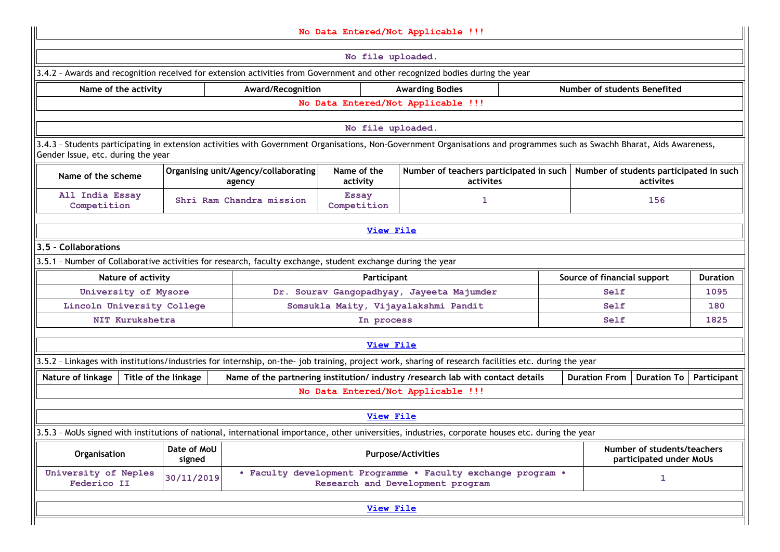|                                                                                                                                                                                                                 |                                                                                                                              |  |                   | No Data Entered/Not Applicable !!!                                                               |  |                             |                                                        |                 |  |  |
|-----------------------------------------------------------------------------------------------------------------------------------------------------------------------------------------------------------------|------------------------------------------------------------------------------------------------------------------------------|--|-------------------|--------------------------------------------------------------------------------------------------|--|-----------------------------|--------------------------------------------------------|-----------------|--|--|
|                                                                                                                                                                                                                 | No file uploaded.                                                                                                            |  |                   |                                                                                                  |  |                             |                                                        |                 |  |  |
|                                                                                                                                                                                                                 | 3.4.2 - Awards and recognition received for extension activities from Government and other recognized bodies during the year |  |                   |                                                                                                  |  |                             |                                                        |                 |  |  |
| Number of students Benefited<br>Award/Recognition<br>Name of the activity<br><b>Awarding Bodies</b>                                                                                                             |                                                                                                                              |  |                   |                                                                                                  |  |                             |                                                        |                 |  |  |
|                                                                                                                                                                                                                 |                                                                                                                              |  |                   | No Data Entered/Not Applicable !!!                                                               |  |                             |                                                        |                 |  |  |
|                                                                                                                                                                                                                 |                                                                                                                              |  | No file uploaded. |                                                                                                  |  |                             |                                                        |                 |  |  |
| 3.4.3 - Students participating in extension activities with Government Organisations, Non-Government Organisations and programmes such as Swachh Bharat, Aids Awareness,<br>Gender Issue, etc. during the year  |                                                                                                                              |  |                   |                                                                                                  |  |                             |                                                        |                 |  |  |
| Name of the<br>Number of students participated in such<br>Organising unit/Agency/collaborating<br>Number of teachers participated in such<br>Name of the scheme<br>activity<br>activites<br>activites<br>agency |                                                                                                                              |  |                   |                                                                                                  |  |                             |                                                        |                 |  |  |
| All India Essay<br><b>Essay</b><br>Shri Ram Chandra mission<br>156<br>1<br>Competition<br>Competition                                                                                                           |                                                                                                                              |  |                   |                                                                                                  |  |                             |                                                        |                 |  |  |
| <b>View File</b>                                                                                                                                                                                                |                                                                                                                              |  |                   |                                                                                                  |  |                             |                                                        |                 |  |  |
| 3.5 - Collaborations                                                                                                                                                                                            |                                                                                                                              |  |                   |                                                                                                  |  |                             |                                                        |                 |  |  |
| 3.5.1 - Number of Collaborative activities for research, faculty exchange, student exchange during the year                                                                                                     |                                                                                                                              |  |                   |                                                                                                  |  |                             |                                                        |                 |  |  |
| Nature of activity                                                                                                                                                                                              |                                                                                                                              |  | Participant       |                                                                                                  |  | Source of financial support |                                                        | <b>Duration</b> |  |  |
| University of Mysore                                                                                                                                                                                            |                                                                                                                              |  |                   | Dr. Sourav Gangopadhyay, Jayeeta Majumder                                                        |  | Self                        |                                                        | 1095            |  |  |
| Lincoln University College                                                                                                                                                                                      |                                                                                                                              |  |                   | Somsukla Maity, Vijayalakshmi Pandit                                                             |  | Self                        |                                                        | 180             |  |  |
| NIT Kurukshetra                                                                                                                                                                                                 |                                                                                                                              |  | In process        |                                                                                                  |  | Self                        |                                                        | 1825            |  |  |
|                                                                                                                                                                                                                 |                                                                                                                              |  | <b>View File</b>  |                                                                                                  |  |                             |                                                        |                 |  |  |
| 3.5.2 - Linkages with institutions/industries for internship, on-the- job training, project work, sharing of research facilities etc. during the year                                                           |                                                                                                                              |  |                   |                                                                                                  |  |                             |                                                        |                 |  |  |
| Nature of linkage                                                                                                                                                                                               | Title of the linkage                                                                                                         |  |                   | Name of the partnering institution/ industry /research lab with contact details                  |  | <b>Duration From</b>        | <b>Duration To</b>                                     | Participant     |  |  |
|                                                                                                                                                                                                                 |                                                                                                                              |  |                   | No Data Entered/Not Applicable !!!                                                               |  |                             |                                                        |                 |  |  |
|                                                                                                                                                                                                                 |                                                                                                                              |  | <b>View File</b>  |                                                                                                  |  |                             |                                                        |                 |  |  |
| 3.5.3 - MoUs signed with institutions of national, international importance, other universities, industries, corporate houses etc. during the year                                                              |                                                                                                                              |  |                   |                                                                                                  |  |                             |                                                        |                 |  |  |
| Organisation                                                                                                                                                                                                    | Date of MoU<br>signed                                                                                                        |  |                   | <b>Purpose/Activities</b>                                                                        |  |                             | Number of students/teachers<br>participated under MoUs |                 |  |  |
| University of Neples<br>Federico II                                                                                                                                                                             | 30/11/2019                                                                                                                   |  |                   | . Faculty development Programme . Faculty exchange program .<br>Research and Development program |  |                             | 1                                                      |                 |  |  |
| <b>View File</b>                                                                                                                                                                                                |                                                                                                                              |  |                   |                                                                                                  |  |                             |                                                        |                 |  |  |
|                                                                                                                                                                                                                 |                                                                                                                              |  |                   |                                                                                                  |  |                             |                                                        |                 |  |  |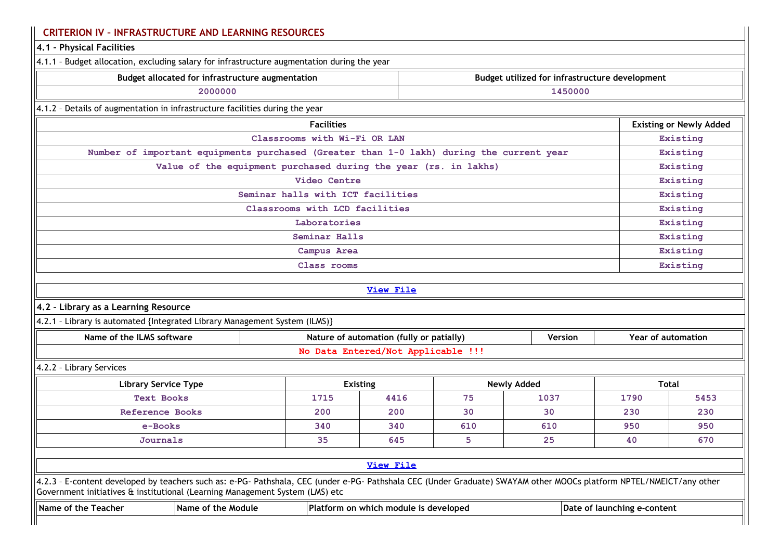| 4.1 - Physical Facilities                                                                                                                                                                                                                            |                                                                 |                                          |     |                                                |                             |                                |  |
|------------------------------------------------------------------------------------------------------------------------------------------------------------------------------------------------------------------------------------------------------|-----------------------------------------------------------------|------------------------------------------|-----|------------------------------------------------|-----------------------------|--------------------------------|--|
| 4.1.1 - Budget allocation, excluding salary for infrastructure augmentation during the year                                                                                                                                                          |                                                                 |                                          |     |                                                |                             |                                |  |
| Budget allocated for infrastructure augmentation                                                                                                                                                                                                     |                                                                 |                                          |     | Budget utilized for infrastructure development |                             |                                |  |
| 2000000                                                                                                                                                                                                                                              |                                                                 |                                          |     | 1450000                                        |                             |                                |  |
| 4.1.2 - Details of augmentation in infrastructure facilities during the year                                                                                                                                                                         |                                                                 |                                          |     |                                                |                             |                                |  |
|                                                                                                                                                                                                                                                      | <b>Facilities</b>                                               |                                          |     |                                                |                             | <b>Existing or Newly Added</b> |  |
|                                                                                                                                                                                                                                                      | Classrooms with Wi-Fi OR LAN                                    |                                          |     |                                                |                             | Existing                       |  |
| Number of important equipments purchased (Greater than 1-0 lakh) during the current year                                                                                                                                                             |                                                                 |                                          |     |                                                |                             | Existing                       |  |
|                                                                                                                                                                                                                                                      | Value of the equipment purchased during the year (rs. in lakhs) |                                          |     |                                                |                             | Existing                       |  |
|                                                                                                                                                                                                                                                      | Video Centre                                                    |                                          |     |                                                |                             | Existing                       |  |
|                                                                                                                                                                                                                                                      | Seminar halls with ICT facilities                               |                                          |     |                                                |                             | Existing                       |  |
|                                                                                                                                                                                                                                                      | Classrooms with LCD facilities                                  |                                          |     |                                                |                             | Existing                       |  |
|                                                                                                                                                                                                                                                      | Laboratories                                                    |                                          |     |                                                |                             | Existing                       |  |
| Seminar Halls<br>Existing                                                                                                                                                                                                                            |                                                                 |                                          |     |                                                |                             |                                |  |
| Existing<br>Campus Area                                                                                                                                                                                                                              |                                                                 |                                          |     |                                                |                             |                                |  |
|                                                                                                                                                                                                                                                      | Class rooms                                                     |                                          |     |                                                |                             | Existing                       |  |
|                                                                                                                                                                                                                                                      |                                                                 | <b>View File</b>                         |     |                                                |                             |                                |  |
| 4.2 - Library as a Learning Resource                                                                                                                                                                                                                 |                                                                 |                                          |     |                                                |                             |                                |  |
| 4.2.1 - Library is automated {Integrated Library Management System (ILMS)}                                                                                                                                                                           |                                                                 |                                          |     |                                                |                             |                                |  |
| Name of the ILMS software                                                                                                                                                                                                                            |                                                                 | Nature of automation (fully or patially) |     | <b>Version</b>                                 |                             | Year of automation             |  |
|                                                                                                                                                                                                                                                      |                                                                 | No Data Entered/Not Applicable !!!       |     |                                                |                             |                                |  |
| 4.2.2 - Library Services                                                                                                                                                                                                                             |                                                                 |                                          |     |                                                |                             |                                |  |
| <b>Library Service Type</b>                                                                                                                                                                                                                          |                                                                 | <b>Existing</b>                          |     | <b>Newly Added</b>                             |                             | <b>Total</b>                   |  |
| <b>Text Books</b>                                                                                                                                                                                                                                    | 1715                                                            | 4416                                     | 75  | 1037                                           | 1790                        | 5453                           |  |
| <b>Reference Books</b>                                                                                                                                                                                                                               | 200                                                             | 200                                      | 30  | 30                                             | 230                         | 230                            |  |
| e-Books                                                                                                                                                                                                                                              | 340                                                             | 340                                      | 610 | 610                                            | 950                         | 950                            |  |
| Journals                                                                                                                                                                                                                                             | 35                                                              | 645                                      | 5   | 25                                             | 40                          | 670                            |  |
|                                                                                                                                                                                                                                                      |                                                                 | <b>View File</b>                         |     |                                                |                             |                                |  |
| 4.2.3 - E-content developed by teachers such as: e-PG- Pathshala, CEC (under e-PG- Pathshala CEC (Under Graduate) SWAYAM other MOOCs platform NPTEL/NMEICT/any other<br>Government initiatives & institutional (Learning Management System (LMS) etc |                                                                 |                                          |     |                                                |                             |                                |  |
| Name of the Module<br>Name of the Teacher                                                                                                                                                                                                            |                                                                 | Platform on which module is developed    |     |                                                | Date of launching e-content |                                |  |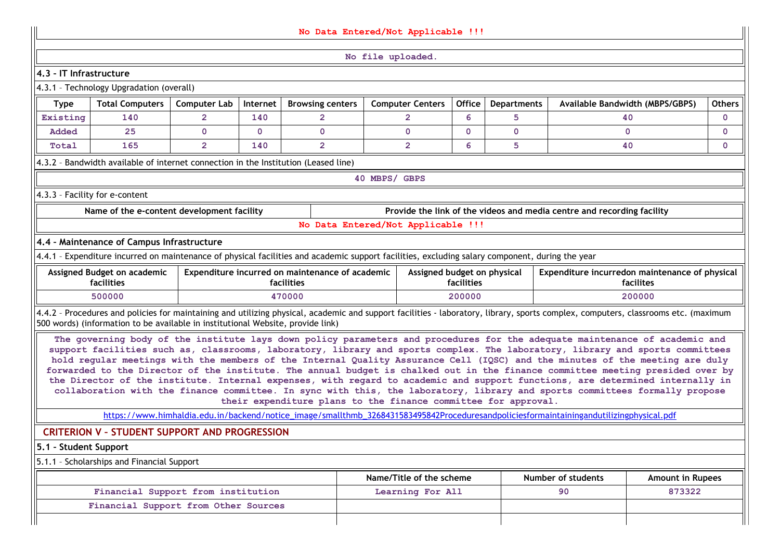|                         |                                                                                                 |                     |              |                                                 | No Data Entered/Not Applicable !!!                                                                                                                                                                                                                                                                                                                                                                                                                                                                                                                                                                                                                                                                                                                                                                                                                               |                      |                    |                                                                        |                         |               |
|-------------------------|-------------------------------------------------------------------------------------------------|---------------------|--------------|-------------------------------------------------|------------------------------------------------------------------------------------------------------------------------------------------------------------------------------------------------------------------------------------------------------------------------------------------------------------------------------------------------------------------------------------------------------------------------------------------------------------------------------------------------------------------------------------------------------------------------------------------------------------------------------------------------------------------------------------------------------------------------------------------------------------------------------------------------------------------------------------------------------------------|----------------------|--------------------|------------------------------------------------------------------------|-------------------------|---------------|
|                         | No file uploaded.                                                                               |                     |              |                                                 |                                                                                                                                                                                                                                                                                                                                                                                                                                                                                                                                                                                                                                                                                                                                                                                                                                                                  |                      |                    |                                                                        |                         |               |
| 4.3 - IT Infrastructure |                                                                                                 |                     |              |                                                 |                                                                                                                                                                                                                                                                                                                                                                                                                                                                                                                                                                                                                                                                                                                                                                                                                                                                  |                      |                    |                                                                        |                         |               |
|                         | 4.3.1 - Technology Upgradation (overall)                                                        |                     |              |                                                 |                                                                                                                                                                                                                                                                                                                                                                                                                                                                                                                                                                                                                                                                                                                                                                                                                                                                  |                      |                    |                                                                        |                         |               |
| <b>Type</b>             | <b>Total Computers</b>                                                                          | <b>Computer Lab</b> | Internet     | <b>Browsing centers</b>                         | <b>Computer Centers</b>                                                                                                                                                                                                                                                                                                                                                                                                                                                                                                                                                                                                                                                                                                                                                                                                                                          | <b>Office</b>        | <b>Departments</b> | <b>Available Bandwidth (MBPS/GBPS)</b>                                 |                         | <b>Others</b> |
| Existing                | 140                                                                                             | $\overline{2}$      | 140          | $\overline{2}$                                  | $\overline{2}$                                                                                                                                                                                                                                                                                                                                                                                                                                                                                                                                                                                                                                                                                                                                                                                                                                                   | 6                    | 5                  |                                                                        | 40                      | $\mathbf{0}$  |
| Added                   | 25                                                                                              | $\mathbf{0}$        | $\mathbf{0}$ | $\mathbf{0}$                                    | $\mathbf{0}$                                                                                                                                                                                                                                                                                                                                                                                                                                                                                                                                                                                                                                                                                                                                                                                                                                                     | $\mathbf{0}$         | $\mathbf{0}$       |                                                                        | $\mathbf{0}$            | $\mathbf{0}$  |
| Total                   | $\overline{2}$<br>$\overline{2}$<br>$\overline{2}$<br>6<br>5<br>165<br>140<br>40<br>$\mathbf 0$ |                     |              |                                                 |                                                                                                                                                                                                                                                                                                                                                                                                                                                                                                                                                                                                                                                                                                                                                                                                                                                                  |                      |                    |                                                                        |                         |               |
|                         | 4.3.2 - Bandwidth available of internet connection in the Institution (Leased line)             |                     |              |                                                 |                                                                                                                                                                                                                                                                                                                                                                                                                                                                                                                                                                                                                                                                                                                                                                                                                                                                  |                      |                    |                                                                        |                         |               |
|                         |                                                                                                 |                     |              |                                                 | 40 MBPS/ GBPS                                                                                                                                                                                                                                                                                                                                                                                                                                                                                                                                                                                                                                                                                                                                                                                                                                                    |                      |                    |                                                                        |                         |               |
|                         | 4.3.3 - Facility for e-content                                                                  |                     |              |                                                 |                                                                                                                                                                                                                                                                                                                                                                                                                                                                                                                                                                                                                                                                                                                                                                                                                                                                  |                      |                    |                                                                        |                         |               |
|                         | Name of the e-content development facility                                                      |                     |              |                                                 |                                                                                                                                                                                                                                                                                                                                                                                                                                                                                                                                                                                                                                                                                                                                                                                                                                                                  |                      |                    | Provide the link of the videos and media centre and recording facility |                         |               |
|                         |                                                                                                 |                     |              |                                                 | No Data Entered/Not Applicable !!!                                                                                                                                                                                                                                                                                                                                                                                                                                                                                                                                                                                                                                                                                                                                                                                                                               |                      |                    |                                                                        |                         |               |
|                         | 4.4 - Maintenance of Campus Infrastructure                                                      |                     |              |                                                 |                                                                                                                                                                                                                                                                                                                                                                                                                                                                                                                                                                                                                                                                                                                                                                                                                                                                  |                      |                    |                                                                        |                         |               |
|                         |                                                                                                 |                     |              |                                                 | 4.4.1 - Expenditure incurred on maintenance of physical facilities and academic support facilities, excluding salary component, during the year                                                                                                                                                                                                                                                                                                                                                                                                                                                                                                                                                                                                                                                                                                                  |                      |                    |                                                                        |                         |               |
|                         | Assigned Budget on academic                                                                     |                     |              | Expenditure incurred on maintenance of academic | Assigned budget on physical                                                                                                                                                                                                                                                                                                                                                                                                                                                                                                                                                                                                                                                                                                                                                                                                                                      |                      |                    | Expenditure incurredon maintenance of physical                         |                         |               |
|                         | facilities<br>500000                                                                            |                     |              | facilities<br>470000                            |                                                                                                                                                                                                                                                                                                                                                                                                                                                                                                                                                                                                                                                                                                                                                                                                                                                                  | facilities<br>200000 |                    |                                                                        | facilites<br>200000     |               |
|                         |                                                                                                 |                     |              |                                                 |                                                                                                                                                                                                                                                                                                                                                                                                                                                                                                                                                                                                                                                                                                                                                                                                                                                                  |                      |                    |                                                                        |                         |               |
|                         | 500 words) (information to be available in institutional Website, provide link)                 |                     |              |                                                 | 4.4.2 - Procedures and policies for maintaining and utilizing physical, academic and support facilities - laboratory, library, sports complex, computers, classrooms etc. (maximum                                                                                                                                                                                                                                                                                                                                                                                                                                                                                                                                                                                                                                                                               |                      |                    |                                                                        |                         |               |
|                         |                                                                                                 |                     |              |                                                 | The governing body of the institute lays down policy parameters and procedures for the adequate maintenance of academic and<br>support facilities such as, classrooms, laboratory, library and sports complex. The laboratory, library and sports committees<br>hold regular meetings with the members of the Internal Quality Assurance Cell (IQSC) and the minutes of the meeting are duly<br>forwarded to the Director of the institute. The annual budget is chalked out in the finance committee meeting presided over by<br>the Director of the institute. Internal expenses, with regard to academic and support functions, are determined internally in<br>collaboration with the finance committee. In sync with this, the laboratory, library and sports committees formally propose<br>their expenditure plans to the finance committee for approval. |                      |                    |                                                                        |                         |               |
|                         |                                                                                                 |                     |              |                                                 | https://www.himhaldia.edu.in/backend/notice_image/smallthmb_3268431583495842Proceduresandpoliciesformaintainingandutilizingphysical.pdf                                                                                                                                                                                                                                                                                                                                                                                                                                                                                                                                                                                                                                                                                                                          |                      |                    |                                                                        |                         |               |
|                         | <b>CRITERION V - STUDENT SUPPORT AND PROGRESSION</b>                                            |                     |              |                                                 |                                                                                                                                                                                                                                                                                                                                                                                                                                                                                                                                                                                                                                                                                                                                                                                                                                                                  |                      |                    |                                                                        |                         |               |
| 5.1 - Student Support   |                                                                                                 |                     |              |                                                 |                                                                                                                                                                                                                                                                                                                                                                                                                                                                                                                                                                                                                                                                                                                                                                                                                                                                  |                      |                    |                                                                        |                         |               |
|                         | 5.1.1 - Scholarships and Financial Support                                                      |                     |              |                                                 |                                                                                                                                                                                                                                                                                                                                                                                                                                                                                                                                                                                                                                                                                                                                                                                                                                                                  |                      |                    |                                                                        |                         |               |
|                         |                                                                                                 |                     |              |                                                 | Name/Title of the scheme                                                                                                                                                                                                                                                                                                                                                                                                                                                                                                                                                                                                                                                                                                                                                                                                                                         |                      |                    | Number of students                                                     | <b>Amount in Rupees</b> |               |
|                         |                                                                                                 |                     |              |                                                 |                                                                                                                                                                                                                                                                                                                                                                                                                                                                                                                                                                                                                                                                                                                                                                                                                                                                  |                      |                    |                                                                        |                         |               |
|                         | Financial Support from institution                                                              |                     |              |                                                 | Learning For All                                                                                                                                                                                                                                                                                                                                                                                                                                                                                                                                                                                                                                                                                                                                                                                                                                                 |                      |                    | 90                                                                     | 873322                  |               |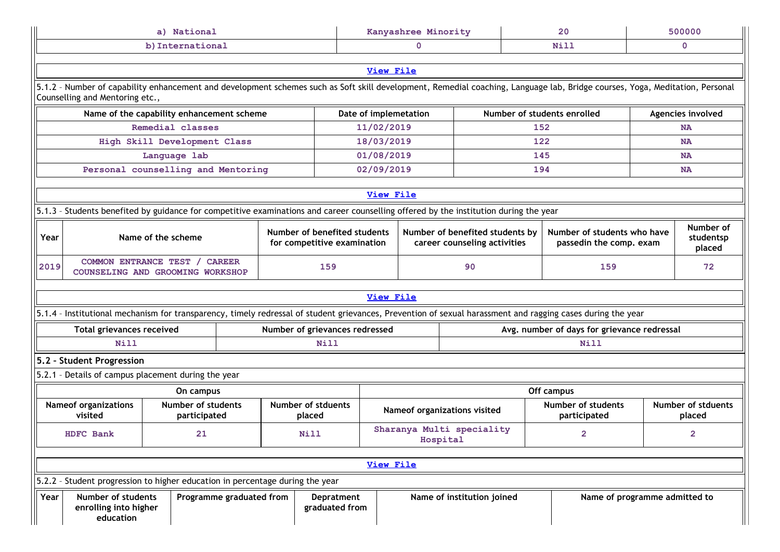|                                                                                                                                                                                                                        |                                                                                                                                       | a) National                               |                          |                                | Kanyashree Minority          |                       |          |                                  | 20  |                                                                                                                                                                              | 500000 |                                     |
|------------------------------------------------------------------------------------------------------------------------------------------------------------------------------------------------------------------------|---------------------------------------------------------------------------------------------------------------------------------------|-------------------------------------------|--------------------------|--------------------------------|------------------------------|-----------------------|----------|----------------------------------|-----|------------------------------------------------------------------------------------------------------------------------------------------------------------------------------|--------|-------------------------------------|
|                                                                                                                                                                                                                        |                                                                                                                                       | b) International                          |                          |                                |                              | $\mathbf 0$           |          |                                  |     | <b>Nill</b>                                                                                                                                                                  |        | $\mathbf{0}$                        |
|                                                                                                                                                                                                                        |                                                                                                                                       |                                           |                          |                                |                              |                       |          |                                  |     |                                                                                                                                                                              |        |                                     |
|                                                                                                                                                                                                                        |                                                                                                                                       |                                           |                          |                                |                              | <b>View File</b>      |          |                                  |     |                                                                                                                                                                              |        |                                     |
|                                                                                                                                                                                                                        | Counselling and Mentoring etc.,                                                                                                       |                                           |                          |                                |                              |                       |          |                                  |     | 5.1.2 - Number of capability enhancement and development schemes such as Soft skill development, Remedial coaching, Language lab, Bridge courses, Yoga, Meditation, Personal |        |                                     |
|                                                                                                                                                                                                                        |                                                                                                                                       | Name of the capability enhancement scheme |                          |                                |                              | Date of implemetation |          |                                  |     | Number of students enrolled                                                                                                                                                  |        | Agencies involved                   |
|                                                                                                                                                                                                                        | Remedial classes<br>11/02/2019<br>152<br><b>NA</b>                                                                                    |                                           |                          |                                |                              |                       |          |                                  |     |                                                                                                                                                                              |        |                                     |
|                                                                                                                                                                                                                        |                                                                                                                                       | High Skill Development Class              |                          |                                |                              | 18/03/2019            |          |                                  | 122 |                                                                                                                                                                              |        | <b>NA</b>                           |
|                                                                                                                                                                                                                        |                                                                                                                                       | Language lab                              |                          |                                |                              | 01/08/2019            |          |                                  | 145 |                                                                                                                                                                              |        | <b>NA</b>                           |
|                                                                                                                                                                                                                        |                                                                                                                                       | Personal counselling and Mentoring        |                          |                                |                              | 02/09/2019            |          |                                  | 194 |                                                                                                                                                                              |        | <b>NA</b>                           |
|                                                                                                                                                                                                                        |                                                                                                                                       |                                           |                          |                                |                              |                       |          |                                  |     |                                                                                                                                                                              |        |                                     |
|                                                                                                                                                                                                                        |                                                                                                                                       |                                           |                          |                                |                              | View File             |          |                                  |     |                                                                                                                                                                              |        |                                     |
|                                                                                                                                                                                                                        | 5.1.3 - Students benefited by guidance for competitive examinations and career counselling offered by the institution during the year |                                           |                          |                                |                              |                       |          |                                  |     |                                                                                                                                                                              |        |                                     |
| Number of benefited students<br>Number of benefited students by<br>Number of students who have<br>Year<br>Name of the scheme<br>for competitive examination<br>career counseling activities<br>passedin the comp. exam |                                                                                                                                       |                                           |                          |                                |                              |                       |          | Number of<br>studentsp<br>placed |     |                                                                                                                                                                              |        |                                     |
| 2019                                                                                                                                                                                                                   | <b>CAREER</b><br>COMMON ENTRANCE TEST /<br>COUNSELING AND GROOMING WORKSHOP                                                           |                                           |                          |                                |                              |                       |          | 90                               |     | 159                                                                                                                                                                          |        | 72                                  |
|                                                                                                                                                                                                                        |                                                                                                                                       |                                           |                          |                                |                              | <b>View File</b>      |          |                                  |     |                                                                                                                                                                              |        |                                     |
|                                                                                                                                                                                                                        |                                                                                                                                       |                                           |                          |                                |                              |                       |          |                                  |     | 5.1.4 - Institutional mechanism for transparency, timely redressal of student grievances, Prevention of sexual harassment and ragging cases during the year                  |        |                                     |
|                                                                                                                                                                                                                        | Total grievances received                                                                                                             |                                           |                          | Number of grievances redressed |                              |                       |          |                                  |     | Avg. number of days for grievance redressal                                                                                                                                  |        |                                     |
|                                                                                                                                                                                                                        | <b>Nill</b>                                                                                                                           |                                           |                          | Nill                           |                              |                       |          |                                  |     | Nill                                                                                                                                                                         |        |                                     |
|                                                                                                                                                                                                                        | 5.2 - Student Progression                                                                                                             |                                           |                          |                                |                              |                       |          |                                  |     |                                                                                                                                                                              |        |                                     |
|                                                                                                                                                                                                                        | 5.2.1 - Details of campus placement during the year                                                                                   |                                           |                          |                                |                              |                       |          |                                  |     |                                                                                                                                                                              |        |                                     |
|                                                                                                                                                                                                                        |                                                                                                                                       | On campus                                 |                          |                                |                              |                       |          |                                  |     | Off campus                                                                                                                                                                   |        |                                     |
|                                                                                                                                                                                                                        | <b>Nameof organizations</b><br>visited                                                                                                | <b>Number of students</b><br>participated |                          | Number of stduents<br>placed   |                              |                       |          | Nameof organizations visited     |     | <b>Number of students</b><br>participated                                                                                                                                    |        | <b>Number of stduents</b><br>placed |
| HDFC Bank<br>21<br><b>Nill</b>                                                                                                                                                                                         |                                                                                                                                       |                                           |                          |                                |                              |                       | Hospital | Sharanya Multi speciality        |     | 2                                                                                                                                                                            |        | 2                                   |
|                                                                                                                                                                                                                        |                                                                                                                                       |                                           |                          |                                |                              | <b>View File</b>      |          |                                  |     |                                                                                                                                                                              |        |                                     |
|                                                                                                                                                                                                                        | 5.2.2 - Student progression to higher education in percentage during the year                                                         |                                           |                          |                                |                              |                       |          |                                  |     |                                                                                                                                                                              |        |                                     |
| Year                                                                                                                                                                                                                   | Number of students<br>enrolling into higher<br>education                                                                              |                                           | Programme graduated from |                                | Depratment<br>graduated from |                       |          | Name of institution joined       |     | Name of programme admitted to                                                                                                                                                |        |                                     |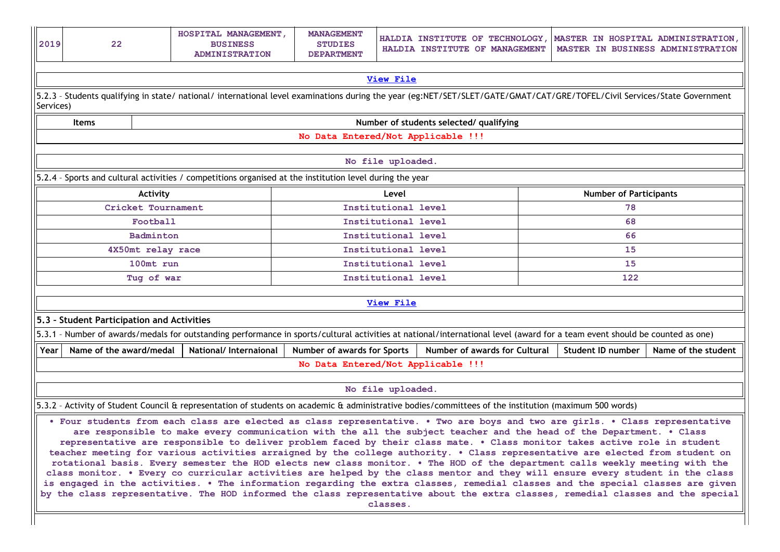| 2019 | 22                                                                                                                                                                                                                                                                                                                                                                                                                                                                                                                                                                                                                                                                                                                                                                                                                                                                                                                                                                                                                                                                       | HOSPITAL MANAGEMENT,<br><b>MANAGEMENT</b><br>HALDIA INSTITUTE OF TECHNOLOGY, MASTER IN HOSPITAL ADMINISTRATION,<br><b>BUSINESS</b><br><b>STUDIES</b><br>MASTER IN BUSINESS ADMINISTRATION<br>HALDIA INSTITUTE OF MANAGEMENT<br><b>ADMINISTRATION</b><br><b>DEPARTMENT</b> |                                                                                                                                                                             |                                    |                     |                                         |  |                   |                     |  |  |
|------|--------------------------------------------------------------------------------------------------------------------------------------------------------------------------------------------------------------------------------------------------------------------------------------------------------------------------------------------------------------------------------------------------------------------------------------------------------------------------------------------------------------------------------------------------------------------------------------------------------------------------------------------------------------------------------------------------------------------------------------------------------------------------------------------------------------------------------------------------------------------------------------------------------------------------------------------------------------------------------------------------------------------------------------------------------------------------|---------------------------------------------------------------------------------------------------------------------------------------------------------------------------------------------------------------------------------------------------------------------------|-----------------------------------------------------------------------------------------------------------------------------------------------------------------------------|------------------------------------|---------------------|-----------------------------------------|--|-------------------|---------------------|--|--|
|      |                                                                                                                                                                                                                                                                                                                                                                                                                                                                                                                                                                                                                                                                                                                                                                                                                                                                                                                                                                                                                                                                          |                                                                                                                                                                                                                                                                           |                                                                                                                                                                             |                                    |                     |                                         |  |                   |                     |  |  |
|      | <b>View File</b>                                                                                                                                                                                                                                                                                                                                                                                                                                                                                                                                                                                                                                                                                                                                                                                                                                                                                                                                                                                                                                                         |                                                                                                                                                                                                                                                                           |                                                                                                                                                                             |                                    |                     |                                         |  |                   |                     |  |  |
|      | 5.2.3 - Students qualifying in state/ national/ international level examinations during the year (eg:NET/SET/SLET/GATE/GMAT/CAT/GRE/TOFEL/Civil Services/State Government<br>Services)                                                                                                                                                                                                                                                                                                                                                                                                                                                                                                                                                                                                                                                                                                                                                                                                                                                                                   |                                                                                                                                                                                                                                                                           |                                                                                                                                                                             |                                    |                     |                                         |  |                   |                     |  |  |
|      | <b>Items</b>                                                                                                                                                                                                                                                                                                                                                                                                                                                                                                                                                                                                                                                                                                                                                                                                                                                                                                                                                                                                                                                             |                                                                                                                                                                                                                                                                           |                                                                                                                                                                             |                                    |                     | Number of students selected/ qualifying |  |                   |                     |  |  |
|      | No Data Entered/Not Applicable !!!                                                                                                                                                                                                                                                                                                                                                                                                                                                                                                                                                                                                                                                                                                                                                                                                                                                                                                                                                                                                                                       |                                                                                                                                                                                                                                                                           |                                                                                                                                                                             |                                    |                     |                                         |  |                   |                     |  |  |
|      | No file uploaded.                                                                                                                                                                                                                                                                                                                                                                                                                                                                                                                                                                                                                                                                                                                                                                                                                                                                                                                                                                                                                                                        |                                                                                                                                                                                                                                                                           |                                                                                                                                                                             |                                    |                     |                                         |  |                   |                     |  |  |
|      |                                                                                                                                                                                                                                                                                                                                                                                                                                                                                                                                                                                                                                                                                                                                                                                                                                                                                                                                                                                                                                                                          |                                                                                                                                                                                                                                                                           | 5.2.4 - Sports and cultural activities / competitions organised at the institution level during the year                                                                    |                                    |                     |                                         |  |                   |                     |  |  |
|      | <b>Number of Participants</b><br>Activity<br>Level                                                                                                                                                                                                                                                                                                                                                                                                                                                                                                                                                                                                                                                                                                                                                                                                                                                                                                                                                                                                                       |                                                                                                                                                                                                                                                                           |                                                                                                                                                                             |                                    |                     |                                         |  |                   |                     |  |  |
|      |                                                                                                                                                                                                                                                                                                                                                                                                                                                                                                                                                                                                                                                                                                                                                                                                                                                                                                                                                                                                                                                                          | Cricket Tournament                                                                                                                                                                                                                                                        |                                                                                                                                                                             |                                    | Institutional level |                                         |  | 78                |                     |  |  |
|      |                                                                                                                                                                                                                                                                                                                                                                                                                                                                                                                                                                                                                                                                                                                                                                                                                                                                                                                                                                                                                                                                          | Football                                                                                                                                                                                                                                                                  |                                                                                                                                                                             |                                    | Institutional level |                                         |  | 68                |                     |  |  |
|      |                                                                                                                                                                                                                                                                                                                                                                                                                                                                                                                                                                                                                                                                                                                                                                                                                                                                                                                                                                                                                                                                          | <b>Badminton</b>                                                                                                                                                                                                                                                          |                                                                                                                                                                             |                                    | Institutional level |                                         |  | 66                |                     |  |  |
|      |                                                                                                                                                                                                                                                                                                                                                                                                                                                                                                                                                                                                                                                                                                                                                                                                                                                                                                                                                                                                                                                                          | 4X50mt relay race                                                                                                                                                                                                                                                         |                                                                                                                                                                             |                                    | Institutional level |                                         |  | 15                |                     |  |  |
|      |                                                                                                                                                                                                                                                                                                                                                                                                                                                                                                                                                                                                                                                                                                                                                                                                                                                                                                                                                                                                                                                                          | 100mt run                                                                                                                                                                                                                                                                 |                                                                                                                                                                             |                                    | Institutional level |                                         |  | 15                |                     |  |  |
|      |                                                                                                                                                                                                                                                                                                                                                                                                                                                                                                                                                                                                                                                                                                                                                                                                                                                                                                                                                                                                                                                                          | Tug of war                                                                                                                                                                                                                                                                |                                                                                                                                                                             |                                    | Institutional level |                                         |  | 122               |                     |  |  |
|      |                                                                                                                                                                                                                                                                                                                                                                                                                                                                                                                                                                                                                                                                                                                                                                                                                                                                                                                                                                                                                                                                          |                                                                                                                                                                                                                                                                           |                                                                                                                                                                             |                                    | View File           |                                         |  |                   |                     |  |  |
|      | 5.3 - Student Participation and Activities                                                                                                                                                                                                                                                                                                                                                                                                                                                                                                                                                                                                                                                                                                                                                                                                                                                                                                                                                                                                                               |                                                                                                                                                                                                                                                                           |                                                                                                                                                                             |                                    |                     |                                         |  |                   |                     |  |  |
|      |                                                                                                                                                                                                                                                                                                                                                                                                                                                                                                                                                                                                                                                                                                                                                                                                                                                                                                                                                                                                                                                                          |                                                                                                                                                                                                                                                                           | 5.3.1 - Number of awards/medals for outstanding performance in sports/cultural activities at national/international level (award for a team event should be counted as one) |                                    |                     |                                         |  |                   |                     |  |  |
| Year | Name of the award/medal                                                                                                                                                                                                                                                                                                                                                                                                                                                                                                                                                                                                                                                                                                                                                                                                                                                                                                                                                                                                                                                  |                                                                                                                                                                                                                                                                           | National/Internaional                                                                                                                                                       | Number of awards for Sports        |                     | Number of awards for Cultural           |  | Student ID number | Name of the student |  |  |
|      |                                                                                                                                                                                                                                                                                                                                                                                                                                                                                                                                                                                                                                                                                                                                                                                                                                                                                                                                                                                                                                                                          |                                                                                                                                                                                                                                                                           |                                                                                                                                                                             | No Data Entered/Not Applicable !!! |                     |                                         |  |                   |                     |  |  |
|      |                                                                                                                                                                                                                                                                                                                                                                                                                                                                                                                                                                                                                                                                                                                                                                                                                                                                                                                                                                                                                                                                          |                                                                                                                                                                                                                                                                           |                                                                                                                                                                             |                                    |                     |                                         |  |                   |                     |  |  |
|      | No file uploaded.                                                                                                                                                                                                                                                                                                                                                                                                                                                                                                                                                                                                                                                                                                                                                                                                                                                                                                                                                                                                                                                        |                                                                                                                                                                                                                                                                           |                                                                                                                                                                             |                                    |                     |                                         |  |                   |                     |  |  |
|      | 5.3.2 - Activity of Student Council & representation of students on academic & administrative bodies/committees of the institution (maximum 500 words)                                                                                                                                                                                                                                                                                                                                                                                                                                                                                                                                                                                                                                                                                                                                                                                                                                                                                                                   |                                                                                                                                                                                                                                                                           |                                                                                                                                                                             |                                    |                     |                                         |  |                   |                     |  |  |
|      | . Four students from each class are elected as class representative. . Two are boys and two are girls. . Class representative<br>are responsible to make every communication with the all the subject teacher and the head of the Department. . Class<br>representative are responsible to deliver problem faced by their class mate. . Class monitor takes active role in student<br>teacher meeting for various activities arraigned by the college authority. . Class representative are elected from student on<br>rotational basis. Every semester the HOD elects new class monitor. . The HOD of the department calls weekly meeting with the<br>class monitor. . Every co curricular activities are helped by the class mentor and they will ensure every student in the class<br>is engaged in the activities. . The information regarding the extra classes, remedial classes and the special classes are given<br>by the class representative. The HOD informed the class representative about the extra classes, remedial classes and the special<br>classes. |                                                                                                                                                                                                                                                                           |                                                                                                                                                                             |                                    |                     |                                         |  |                   |                     |  |  |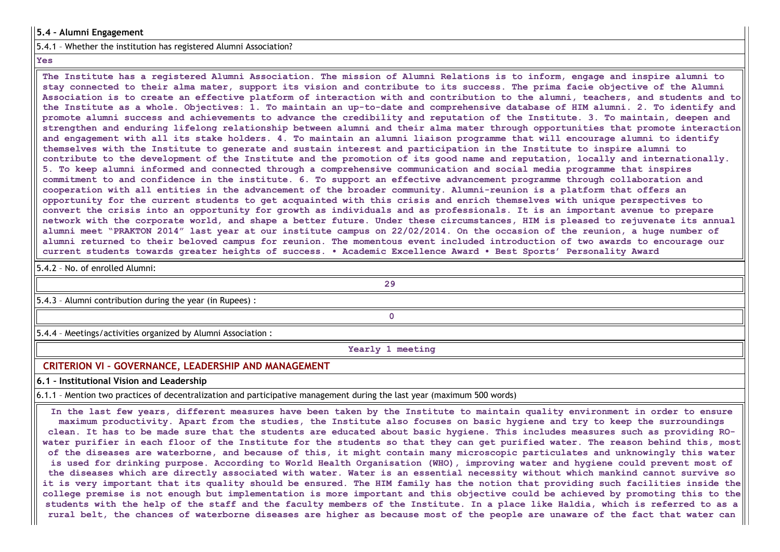#### 5.4 – Alumni Engagement

5.4.1 – Whether the institution has registered Alumni Association?

#### Yes

The Institute has a registered Alumni Association. The mission of Alumni Relations is to inform, engage and inspire alumni to stay connected to their alma mater, support its vision and contribute to its success. The prima facie objective of the Alumni Association is to create an effective platform of interaction with and contribution to the alumni, teachers, and students and to the Institute as a whole. Objectives: 1. To maintain an up-to-date and comprehensive database of HIM alumni. 2. To identify and promote alumni success and achievements to advance the credibility and reputation of the Institute. 3. To maintain, deepen and strengthen and enduring lifelong relationship between alumni and their alma mater through opportunities that promote interaction and engagement with all its stake holders. 4. To maintain an alumni liaison programme that will encourage alumni to identify themselves with the Institute to generate and sustain interest and participation in the Institute to inspire alumni to contribute to the development of the Institute and the promotion of its good name and reputation, locally and internationally. 5. To keep alumni informed and connected through a comprehensive communication and social media programme that inspires commitment to and confidence in the institute. 6. To support an effective advancement programme through collaboration and cooperation with all entities in the advancement of the broader community. Alumni-reunion is a platform that offers an opportunity for the current students to get acquainted with this crisis and enrich themselves with unique perspectives to convert the crisis into an opportunity for growth as individuals and as professionals. It is an important avenue to prepare network with the corporate world, and shape a better future. Under these circumstances, HIM is pleased to rejuvenate its annual alumni meet "PRAKTON 2014" last year at our institute campus on 22/02/2014. On the occasion of the reunion, a huge number of alumni returned to their beloved campus for reunion. The momentous event included introduction of two awards to encourage our current students towards greater heights of success. • Academic Excellence Award • Best Sports' Personality Award

5.4.2 – No. of enrolled Alumni:

29

5.4.3 – Alumni contribution during the year (in Rupees) :

5.4.4 – Meetings/activities organized by Alumni Association :

Yearly 1 meeting

 $\Omega$ 

### CRITERION VI – GOVERNANCE, LEADERSHIP AND MANAGEMENT

6.1 – Institutional Vision and Leadership

6.1.1 – Mention two practices of decentralization and participative management during the last year (maximum 500 words)

In the last few years, different measures have been taken by the Institute to maintain quality environment in order to ensure maximum productivity. Apart from the studies, the Institute also focuses on basic hygiene and try to keep the surroundings clean. It has to be made sure that the students are educated about basic hygiene. This includes measures such as providing ROwater purifier in each floor of the Institute for the students so that they can get purified water. The reason behind this, most of the diseases are waterborne, and because of this, it might contain many microscopic particulates and unknowingly this water is used for drinking purpose. According to World Health Organisation (WHO), improving water and hygiene could prevent most of the diseases which are directly associated with water. Water is an essential necessity without which mankind cannot survive so it is very important that its quality should be ensured. The HIM family has the notion that providing such facilities inside the college premise is not enough but implementation is more important and this objective could be achieved by promoting this to the students with the help of the staff and the faculty members of the Institute. In a place like Haldia, which is referred to as a rural belt, the chances of waterborne diseases are higher as because most of the people are unaware of the fact that water can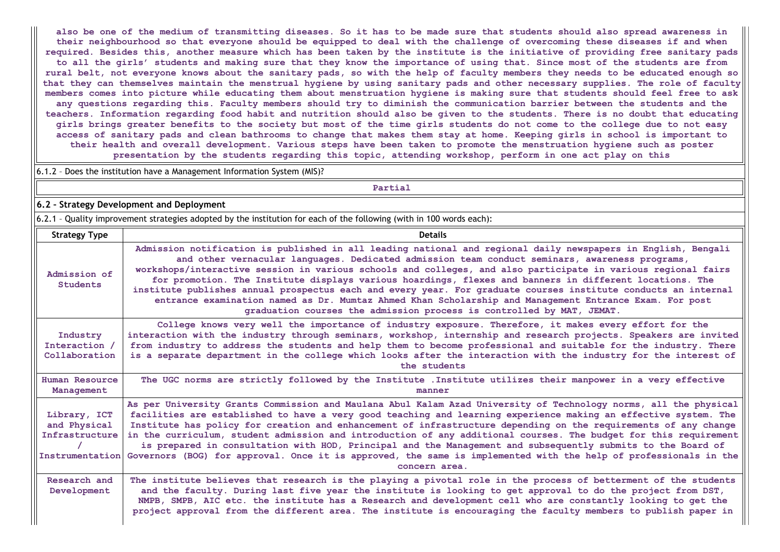also be one of the medium of transmitting diseases. So it has to be made sure that students should also spread awareness in their neighbourhood so that everyone should be equipped to deal with the challenge of overcoming these diseases if and when required. Besides this, another measure which has been taken by the institute is the initiative of providing free sanitary pads to all the girls' students and making sure that they know the importance of using that. Since most of the students are from rural belt, not everyone knows about the sanitary pads, so with the help of faculty members they needs to be educated enough so that they can themselves maintain the menstrual hygiene by using sanitary pads and other necessary supplies. The role of faculty members comes into picture while educating them about menstruation hygiene is making sure that students should feel free to ask any questions regarding this. Faculty members should try to diminish the communication barrier between the students and the teachers. Information regarding food habit and nutrition should also be given to the students. There is no doubt that educating girls brings greater benefits to the society but most of the time girls students do not come to the college due to not easy access of sanitary pads and clean bathrooms to change that makes them stay at home. Keeping girls in school is important to their health and overall development. Various steps have been taken to promote the menstruation hygiene such as poster presentation by the students regarding this topic, attending workshop, perform in one act play on this

6.1.2 – Does the institution have a Management Information System (MIS)?

Partial

6.2 – Strategy Development and Deployment

6.2.1 – Quality improvement strategies adopted by the institution for each of the following (with in 100 words each):

| <b>Strategy Type</b>                           | <b>Details</b>                                                                                                                                                                                                                                                                                                                                                                                                                                                                                                                                                                                                                                                                                                                                   |
|------------------------------------------------|--------------------------------------------------------------------------------------------------------------------------------------------------------------------------------------------------------------------------------------------------------------------------------------------------------------------------------------------------------------------------------------------------------------------------------------------------------------------------------------------------------------------------------------------------------------------------------------------------------------------------------------------------------------------------------------------------------------------------------------------------|
| Admission of<br>Students                       | Admission notification is published in all leading national and regional daily newspapers in English, Bengali<br>and other vernacular languages. Dedicated admission team conduct seminars, awareness programs,<br>workshops/interactive session in various schools and colleges, and also participate in various regional fairs<br>for promotion. The Institute displays various hoardings, flexes and banners in different locations. The<br>institute publishes annual prospectus each and every year. For graduate courses institute conducts an internal<br>entrance examination named as Dr. Mumtaz Ahmed Khan Scholarship and Management Entrance Exam. For post<br>graduation courses the admission process is controlled by MAT, JEMAT. |
| Industry<br>Interaction /<br>Collaboration     | College knows very well the importance of industry exposure. Therefore, it makes every effort for the<br>interaction with the industry through seminars, workshop, internship and research projects. Speakers are invited<br>from industry to address the students and help them to become professional and suitable for the industry. There<br>is a separate department in the college which looks after the interaction with the industry for the interest of<br>the students                                                                                                                                                                                                                                                                  |
| Human Resource<br>Management                   | The UGC norms are strictly followed by the Institute . Institute utilizes their manpower in a very effective<br>manner                                                                                                                                                                                                                                                                                                                                                                                                                                                                                                                                                                                                                           |
| Library, ICT<br>and Physical<br>Infrastructure | As per University Grants Commission and Maulana Abul Kalam Azad University of Technology norms, all the physical<br>facilities are established to have a very good teaching and learning experience making an effective system. The<br>Institute has policy for creation and enhancement of infrastructure depending on the requirements of any change<br>in the curriculum, student admission and introduction of any additional courses. The budget for this requirement<br>is prepared in consultation with HOD, Principal and the Management and subsequently submits to the Board of<br>Instrumentation Governors (BOG) for approval. Once it is approved, the same is implemented with the help of professionals in the<br>concern area.   |
| Research and<br>Development                    | The institute believes that research is the playing a pivotal role in the process of betterment of the students<br>and the faculty. During last five year the institute is looking to get approval to do the project from DST,<br>NMPB, SMPB, AIC etc. the institute has a Research and development cell who are constantly looking to get the<br>project approval from the different area. The institute is encouraging the faculty members to publish paper in                                                                                                                                                                                                                                                                                 |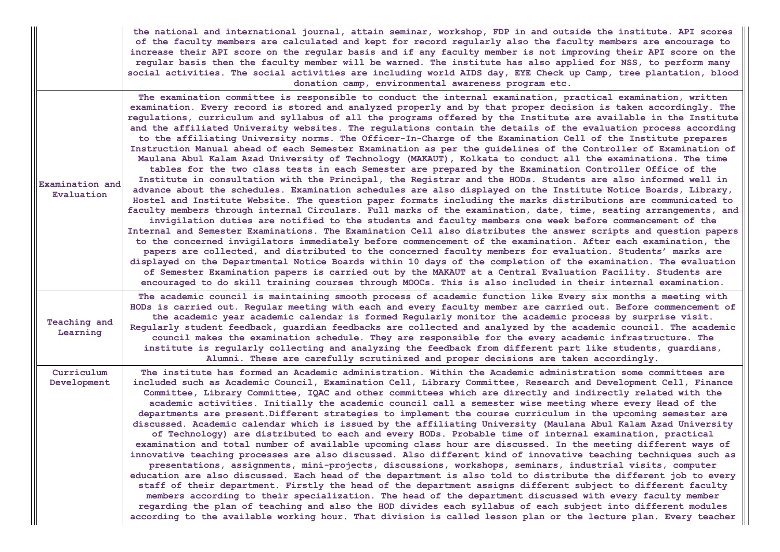|                               | the national and international journal, attain seminar, workshop, FDP in and outside the institute. API scores<br>of the faculty members are calculated and kept for record regularly also the faculty members are encourage to<br>increase their API score on the regular basis and if any faculty member is not improving their API score on the<br>regular basis then the faculty member will be warned. The institute has also applied for NSS, to perform many<br>social activities. The social activities are including world AIDS day, EYE Check up Camp, tree plantation, blood<br>donation camp, environmental awareness program etc.                                                                                                                                                                                                                                                                                                                                                                                                                                                                                                                                                                                                                                                                                                                                                                                                                                                                                                                                                                                                                                                                                                                                                                                                                                                                                                                                                                                                                                                                                                                                                                               |
|-------------------------------|------------------------------------------------------------------------------------------------------------------------------------------------------------------------------------------------------------------------------------------------------------------------------------------------------------------------------------------------------------------------------------------------------------------------------------------------------------------------------------------------------------------------------------------------------------------------------------------------------------------------------------------------------------------------------------------------------------------------------------------------------------------------------------------------------------------------------------------------------------------------------------------------------------------------------------------------------------------------------------------------------------------------------------------------------------------------------------------------------------------------------------------------------------------------------------------------------------------------------------------------------------------------------------------------------------------------------------------------------------------------------------------------------------------------------------------------------------------------------------------------------------------------------------------------------------------------------------------------------------------------------------------------------------------------------------------------------------------------------------------------------------------------------------------------------------------------------------------------------------------------------------------------------------------------------------------------------------------------------------------------------------------------------------------------------------------------------------------------------------------------------------------------------------------------------------------------------------------------------|
| Examination and<br>Evaluation | The examination committee is responsible to conduct the internal examination, practical examination, written<br>examination. Every record is stored and analyzed properly and by that proper decision is taken accordingly. The<br>regulations, curriculum and syllabus of all the programs offered by the Institute are available in the Institute<br>and the affiliated University websites. The requlations contain the details of the evaluation process according<br>to the affiliating University norms. The Officer-In-Charge of the Examination Cell of the Institute prepares<br>Instruction Manual ahead of each Semester Examination as per the guidelines of the Controller of Examination of<br>Maulana Abul Kalam Azad University of Technology (MAKAUT), Kolkata to conduct all the examinations. The time<br>tables for the two class tests in each Semester are prepared by the Examination Controller Office of the<br>Institute in consultation with the Principal, the Registrar and the HODs. Students are also informed well in<br>advance about the schedules. Examination schedules are also displayed on the Institute Notice Boards, Library,<br>Hostel and Institute Website. The question paper formats including the marks distributions are communicated to<br>faculty members through internal Circulars. Full marks of the examination, date, time, seating arrangements, and<br>invigilation duties are notified to the students and faculty members one week before commencement of the<br>Internal and Semester Examinations. The Examination Cell also distributes the answer scripts and question papers<br>to the concerned invigilators immediately before commencement of the examination. After each examination, the<br>papers are collected, and distributed to the concerned faculty members for evaluation. Students' marks are<br>displayed on the Departmental Notice Boards within 10 days of the completion of the examination. The evaluation<br>of Semester Examination papers is carried out by the MAKAUT at a Central Evaluation Facility. Students are<br>encouraged to do skill training courses through MOOCs. This is also included in their internal examination. |
| Teaching and<br>Learning      | The academic council is maintaining smooth process of academic function like Every six months a meeting with<br>HODs is carried out. Regular meeting with each and every faculty member are carried out. Before commencement of<br>the academic year academic calendar is formed Regularly monitor the academic process by surprise visit.<br>Regularly student feedback, guardian feedbacks are collected and analyzed by the academic council. The academic<br>council makes the examination schedule. They are responsible for the every academic infrastructure. The<br>institute is regularly collecting and analyzing the feedback from different part like students, guardians,<br>Alumni. These are carefully scrutinized and proper decisions are taken accordingly.                                                                                                                                                                                                                                                                                                                                                                                                                                                                                                                                                                                                                                                                                                                                                                                                                                                                                                                                                                                                                                                                                                                                                                                                                                                                                                                                                                                                                                                |
| Curriculum<br>Development     | The institute has formed an Academic administration. Within the Academic administration some committees are<br>included such as Academic Council, Examination Cell, Library Committee, Research and Development Cell, Finance<br>Committee, Library Committee, IQAC and other committees which are directly and indirectly related with the<br>academic activities. Initially the academic council call a semester wise meeting where every Head of the<br>departments are present. Different strategies to implement the course curriculum in the upcoming semester are<br>discussed. Academic calendar which is issued by the affiliating University (Maulana Abul Kalam Azad University<br>of Technology) are distributed to each and every HODs. Probable time of internal examination, practical<br>examination and total number of available upcoming class hour are discussed. In the meeting different ways of<br>innovative teaching processes are also discussed. Also different kind of innovative teaching techniques such as<br>presentations, assignments, mini-projects, discussions, workshops, seminars, industrial visits, computer<br>education are also discussed. Each head of the department is also told to distribute the different job to every<br>staff of their department. Firstly the head of the department assigns different subject to different faculty<br>members according to their specialization. The head of the department discussed with every faculty member<br>regarding the plan of teaching and also the HOD divides each syllabus of each subject into different modules<br>according to the available working hour. That division is called lesson plan or the lecture plan. Every teacher                                                                                                                                                                                                                                                                                                                                                                                                                                                                                     |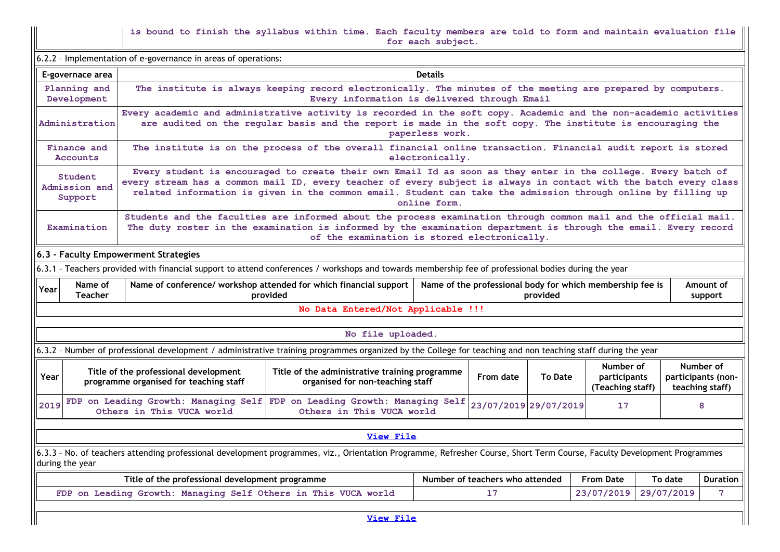is bound to finish the syllabus within time. Each faculty members are told to form and maintain evaluation file for each subject.

 $\vert$  6.2.2 - Implementation of e-governance in areas of operations:

| E-governace area                                                                                                                                                                                                                                              | <b>Details</b>                                                                                                                                                                                                                                                                                                                                                      |  |  |  |  |                                                    |  |  |  |  |
|---------------------------------------------------------------------------------------------------------------------------------------------------------------------------------------------------------------------------------------------------------------|---------------------------------------------------------------------------------------------------------------------------------------------------------------------------------------------------------------------------------------------------------------------------------------------------------------------------------------------------------------------|--|--|--|--|----------------------------------------------------|--|--|--|--|
| Planning and<br>Development                                                                                                                                                                                                                                   | The institute is always keeping record electronically. The minutes of the meeting are prepared by computers.<br>Every information is delivered through Email                                                                                                                                                                                                        |  |  |  |  |                                                    |  |  |  |  |
| Administration                                                                                                                                                                                                                                                | Every academic and administrative activity is recorded in the soft copy. Academic and the non-academic activities<br>are audited on the regular basis and the report is made in the soft copy. The institute is encouraging the<br>paperless work.                                                                                                                  |  |  |  |  |                                                    |  |  |  |  |
| Finance and<br><b>Accounts</b>                                                                                                                                                                                                                                | The institute is on the process of the overall financial online transaction. Financial audit report is stored<br>electronically.                                                                                                                                                                                                                                    |  |  |  |  |                                                    |  |  |  |  |
| Student<br>Admission and<br>Support                                                                                                                                                                                                                           | Every student is encouraged to create their own Email Id as soon as they enter in the college. Every batch of<br>every stream has a common mail ID, every teacher of every subject is always in contact with the batch every class<br>related information is given in the common email. Student can take the admission through online by filling up<br>online form. |  |  |  |  |                                                    |  |  |  |  |
| Examination                                                                                                                                                                                                                                                   | Students and the faculties are informed about the process examination through common mail and the official mail.<br>The duty roster in the examination is informed by the examination department is through the email. Every record<br>of the examination is stored electronically.                                                                                 |  |  |  |  |                                                    |  |  |  |  |
| 6.3 - Faculty Empowerment Strategies                                                                                                                                                                                                                          |                                                                                                                                                                                                                                                                                                                                                                     |  |  |  |  |                                                    |  |  |  |  |
| 6.3.1 - Teachers provided with financial support to attend conferences / workshops and towards membership fee of professional bodies during the year                                                                                                          |                                                                                                                                                                                                                                                                                                                                                                     |  |  |  |  |                                                    |  |  |  |  |
| Name of<br>Year<br><b>Teacher</b>                                                                                                                                                                                                                             | Name of conference/ workshop attended for which financial support<br>Name of the professional body for which membership fee is<br>Amount of<br>provided<br>provided<br>support                                                                                                                                                                                      |  |  |  |  |                                                    |  |  |  |  |
|                                                                                                                                                                                                                                                               | No Data Entered/Not Applicable !!!                                                                                                                                                                                                                                                                                                                                  |  |  |  |  |                                                    |  |  |  |  |
| No file uploaded.                                                                                                                                                                                                                                             |                                                                                                                                                                                                                                                                                                                                                                     |  |  |  |  |                                                    |  |  |  |  |
|                                                                                                                                                                                                                                                               |                                                                                                                                                                                                                                                                                                                                                                     |  |  |  |  |                                                    |  |  |  |  |
|                                                                                                                                                                                                                                                               | 6.3.2 - Number of professional development / administrative training programmes organized by the College for teaching and non teaching staff during the year                                                                                                                                                                                                        |  |  |  |  |                                                    |  |  |  |  |
| Number of<br>Title of the professional development<br>Title of the administrative training programme<br>Year<br>From date<br><b>To Date</b><br>participants<br>programme organised for teaching staff<br>organised for non-teaching staff<br>(Teaching staff) |                                                                                                                                                                                                                                                                                                                                                                     |  |  |  |  | Number of<br>participants (non-<br>teaching staff) |  |  |  |  |
| FDP on Leading Growth: Managing Self<br>FDP on Leading Growth: Managing Self<br>23/07/2019 29/07/2019<br>2019<br>17<br>8<br>Others in This VUCA world<br>Others in This VUCA world                                                                            |                                                                                                                                                                                                                                                                                                                                                                     |  |  |  |  |                                                    |  |  |  |  |
| View File                                                                                                                                                                                                                                                     |                                                                                                                                                                                                                                                                                                                                                                     |  |  |  |  |                                                    |  |  |  |  |
| 6.3.3 - No. of teachers attending professional development programmes, viz., Orientation Programme, Refresher Course, Short Term Course, Faculty Development Programmes<br>during the year                                                                    |                                                                                                                                                                                                                                                                                                                                                                     |  |  |  |  |                                                    |  |  |  |  |
| Number of teachers who attended<br>Title of the professional development programme<br><b>From Date</b><br>To date                                                                                                                                             |                                                                                                                                                                                                                                                                                                                                                                     |  |  |  |  | <b>Duration</b>                                    |  |  |  |  |
|                                                                                                                                                                                                                                                               | 23/07/2019<br>29/07/2019<br>7<br>FDP on Leading Growth: Managing Self Others in This VUCA world<br>17                                                                                                                                                                                                                                                               |  |  |  |  |                                                    |  |  |  |  |
| View File                                                                                                                                                                                                                                                     |                                                                                                                                                                                                                                                                                                                                                                     |  |  |  |  |                                                    |  |  |  |  |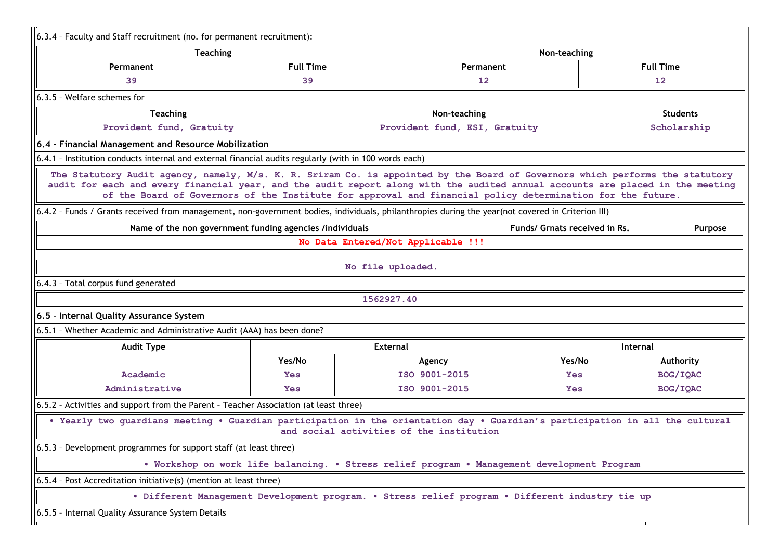| <b>Teaching</b>                                                                                                                                                                                                                                                 |                  |                                                                                                            | Non-teaching |                  |  |  |
|-----------------------------------------------------------------------------------------------------------------------------------------------------------------------------------------------------------------------------------------------------------------|------------------|------------------------------------------------------------------------------------------------------------|--------------|------------------|--|--|
| Permanent                                                                                                                                                                                                                                                       | <b>Full Time</b> | Permanent                                                                                                  |              | <b>Full Time</b> |  |  |
| 39                                                                                                                                                                                                                                                              | 39               | 12                                                                                                         |              | 12               |  |  |
| 6.3.5 - Welfare schemes for                                                                                                                                                                                                                                     |                  |                                                                                                            |              |                  |  |  |
| <b>Teaching</b>                                                                                                                                                                                                                                                 |                  | Non-teaching                                                                                               |              | <b>Students</b>  |  |  |
| Provident fund, Gratuity                                                                                                                                                                                                                                        |                  | Provident fund, ESI, Gratuity<br>Scholarship                                                               |              |                  |  |  |
| 6.4 - Financial Management and Resource Mobilization                                                                                                                                                                                                            |                  |                                                                                                            |              |                  |  |  |
| 6.4.1 - Institution conducts internal and external financial audits regularly (with in 100 words each)                                                                                                                                                          |                  |                                                                                                            |              |                  |  |  |
| The Statutory Audit agency, namely, M/s. K. R. Sriram Co. is appointed by the Board of Governors which performs the statutory<br>audit for each and every financial year, and the audit report along with the audited annual accounts are placed in the meeting |                  | of the Board of Governors of the Institute for approval and financial policy determination for the future. |              |                  |  |  |
| 6.4.2 - Funds / Grants received from management, non-government bodies, individuals, philanthropies during the year(not covered in Criterion III)<br>Name of the non government funding agencies /individuals<br>Funds/ Grnats received in Rs.                  |                  |                                                                                                            |              |                  |  |  |
|                                                                                                                                                                                                                                                                 |                  | No Data Entered/Not Applicable !!!                                                                         |              | Purpose          |  |  |
|                                                                                                                                                                                                                                                                 |                  |                                                                                                            |              |                  |  |  |
|                                                                                                                                                                                                                                                                 |                  |                                                                                                            |              |                  |  |  |
|                                                                                                                                                                                                                                                                 |                  | No file uploaded.                                                                                          |              |                  |  |  |
|                                                                                                                                                                                                                                                                 |                  |                                                                                                            |              |                  |  |  |
|                                                                                                                                                                                                                                                                 |                  | 1562927.40                                                                                                 |              |                  |  |  |
|                                                                                                                                                                                                                                                                 |                  |                                                                                                            |              |                  |  |  |
| 6.4.3 - Total corpus fund generated<br>6.5 - Internal Quality Assurance System<br>6.5.1 - Whether Academic and Administrative Audit (AAA) has been done?                                                                                                        |                  |                                                                                                            |              |                  |  |  |
| <b>Audit Type</b>                                                                                                                                                                                                                                               |                  | <b>External</b>                                                                                            |              | Internal         |  |  |
|                                                                                                                                                                                                                                                                 | Yes/No           | Agency                                                                                                     | Yes/No       | Authority        |  |  |
| Academic                                                                                                                                                                                                                                                        | <b>Yes</b>       | ISO 9001-2015                                                                                              | <b>Yes</b>   | BOG/IQAC         |  |  |
| Administrative                                                                                                                                                                                                                                                  | <b>Yes</b>       | ISO 9001-2015                                                                                              | <b>Yes</b>   | BOG/IQAC         |  |  |
| 6.5.2 - Activities and support from the Parent - Teacher Association (at least three)                                                                                                                                                                           |                  |                                                                                                            |              |                  |  |  |
| . Yearly two guardians meeting . Guardian participation in the orientation day . Guardian's participation in all the cultural                                                                                                                                   |                  | and social activities of the institution                                                                   |              |                  |  |  |
|                                                                                                                                                                                                                                                                 |                  |                                                                                                            |              |                  |  |  |
|                                                                                                                                                                                                                                                                 |                  | . Workshop on work life balancing. . Stress relief program . Management development Program                |              |                  |  |  |
|                                                                                                                                                                                                                                                                 |                  |                                                                                                            |              |                  |  |  |
| 6.5.3 - Development programmes for support staff (at least three)<br>6.5.4 - Post Accreditation initiative(s) (mention at least three)                                                                                                                          |                  | . Different Management Development program. . Stress relief program . Different industry tie up            |              |                  |  |  |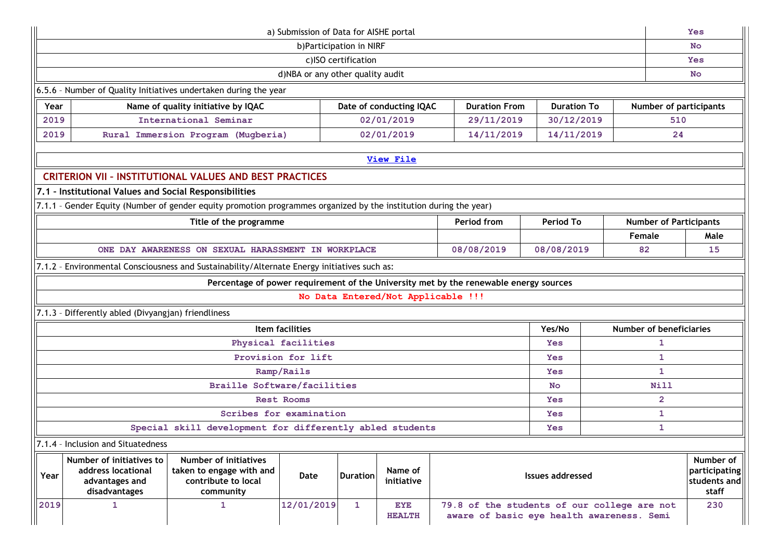| a) Submission of Data for AISHE portal                                                                                                                                                                                                                                   |                                                                                       |                                                                                                                   |  |  |  |                |                                                     | <b>Yes</b>             |           |                               |      |
|--------------------------------------------------------------------------------------------------------------------------------------------------------------------------------------------------------------------------------------------------------------------------|---------------------------------------------------------------------------------------|-------------------------------------------------------------------------------------------------------------------|--|--|--|----------------|-----------------------------------------------------|------------------------|-----------|-------------------------------|------|
| b)Participation in NIRF                                                                                                                                                                                                                                                  |                                                                                       |                                                                                                                   |  |  |  |                |                                                     |                        | <b>No</b> |                               |      |
| c)ISO certification                                                                                                                                                                                                                                                      |                                                                                       |                                                                                                                   |  |  |  |                |                                                     | <b>Yes</b>             |           |                               |      |
| d)NBA or any other quality audit                                                                                                                                                                                                                                         |                                                                                       |                                                                                                                   |  |  |  |                | <b>No</b>                                           |                        |           |                               |      |
| 6.5.6 - Number of Quality Initiatives undertaken during the year                                                                                                                                                                                                         |                                                                                       |                                                                                                                   |  |  |  |                |                                                     |                        |           |                               |      |
| Name of quality initiative by IQAC<br><b>Duration From</b><br>Year<br>Date of conducting IQAC<br><b>Duration To</b>                                                                                                                                                      |                                                                                       |                                                                                                                   |  |  |  |                |                                                     | Number of participants |           |                               |      |
| International Seminar<br>2019<br>02/01/2019<br>29/11/2019<br>30/12/2019                                                                                                                                                                                                  |                                                                                       |                                                                                                                   |  |  |  |                |                                                     | 510                    |           |                               |      |
| 02/01/2019<br>14/11/2019<br>14/11/2019<br>2019<br>Rural Immersion Program (Mugberia)                                                                                                                                                                                     |                                                                                       |                                                                                                                   |  |  |  |                |                                                     |                        | 24        |                               |      |
| <b>View File</b>                                                                                                                                                                                                                                                         |                                                                                       |                                                                                                                   |  |  |  |                |                                                     |                        |           |                               |      |
| <b>CRITERION VII - INSTITUTIONAL VALUES AND BEST PRACTICES</b>                                                                                                                                                                                                           |                                                                                       |                                                                                                                   |  |  |  |                |                                                     |                        |           |                               |      |
| 7.1 - Institutional Values and Social Responsibilities                                                                                                                                                                                                                   |                                                                                       |                                                                                                                   |  |  |  |                |                                                     |                        |           |                               |      |
|                                                                                                                                                                                                                                                                          |                                                                                       | 7.1.1 - Gender Equity (Number of gender equity promotion programmes organized by the institution during the year) |  |  |  |                |                                                     |                        |           |                               |      |
|                                                                                                                                                                                                                                                                          |                                                                                       | Title of the programme                                                                                            |  |  |  |                | Period from                                         | <b>Period To</b>       |           | <b>Number of Participants</b> |      |
|                                                                                                                                                                                                                                                                          |                                                                                       |                                                                                                                   |  |  |  |                |                                                     |                        |           | Female                        | Male |
|                                                                                                                                                                                                                                                                          |                                                                                       | ONE DAY AWARENESS ON SEXUAL HARASSMENT IN WORKPLACE                                                               |  |  |  |                | 08/08/2019                                          | 08/08/2019             |           | 82                            | 15   |
|                                                                                                                                                                                                                                                                          |                                                                                       | 7.1.2 - Environmental Consciousness and Sustainability/Alternate Energy initiatives such as:                      |  |  |  |                |                                                     |                        |           |                               |      |
|                                                                                                                                                                                                                                                                          | Percentage of power requirement of the University met by the renewable energy sources |                                                                                                                   |  |  |  |                |                                                     |                        |           |                               |      |
| No Data Entered/Not Applicable !!!                                                                                                                                                                                                                                       |                                                                                       |                                                                                                                   |  |  |  |                |                                                     |                        |           |                               |      |
|                                                                                                                                                                                                                                                                          | 7.1.3 - Differently abled (Divyangjan) friendliness                                   |                                                                                                                   |  |  |  |                |                                                     |                        |           |                               |      |
| Item facilities<br>Yes/No<br><b>Number of beneficiaries</b>                                                                                                                                                                                                              |                                                                                       |                                                                                                                   |  |  |  |                |                                                     |                        |           |                               |      |
| Physical facilities                                                                                                                                                                                                                                                      |                                                                                       |                                                                                                                   |  |  |  | <b>Yes</b>     |                                                     | 1                      |           |                               |      |
| Provision for lift                                                                                                                                                                                                                                                       |                                                                                       |                                                                                                                   |  |  |  | <b>Yes</b>     | $\mathbf{1}$                                        |                        |           |                               |      |
| Ramp/Rails<br><b>Yes</b>                                                                                                                                                                                                                                                 |                                                                                       |                                                                                                                   |  |  |  |                | 1                                                   |                        |           |                               |      |
| <b>Braille Software/facilities</b><br>No.                                                                                                                                                                                                                                |                                                                                       |                                                                                                                   |  |  |  | Nill           |                                                     |                        |           |                               |      |
| <b>Rest Rooms</b><br><b>Yes</b>                                                                                                                                                                                                                                          |                                                                                       |                                                                                                                   |  |  |  | $\overline{2}$ |                                                     |                        |           |                               |      |
| Scribes for examination<br><b>Yes</b>                                                                                                                                                                                                                                    |                                                                                       |                                                                                                                   |  |  |  |                | 1                                                   |                        |           |                               |      |
| Special skill development for differently abled students<br>1<br><b>Yes</b>                                                                                                                                                                                              |                                                                                       |                                                                                                                   |  |  |  |                |                                                     |                        |           |                               |      |
| 7.1.4 - Inclusion and Situatedness                                                                                                                                                                                                                                       |                                                                                       |                                                                                                                   |  |  |  |                |                                                     |                        |           |                               |      |
| <b>Number of initiatives</b><br>Number of initiatives to<br>taken to engage with and<br>Name of<br>address locational<br>Year<br><b>Duration</b><br><b>Issues addressed</b><br>Date<br>contribute to local<br>advantages and<br>initiative<br>disadvantages<br>community |                                                                                       |                                                                                                                   |  |  |  |                | Number of<br>participating<br>students and<br>staff |                        |           |                               |      |
| 2019<br>12/01/2019<br>$\mathbf{1}$<br>$\mathbf{1}$<br><b>EYE</b><br>79.8 of the students of our college are not<br>1<br>aware of basic eye health awareness. Semi<br><b>HEALTH</b>                                                                                       |                                                                                       |                                                                                                                   |  |  |  |                |                                                     | 230                    |           |                               |      |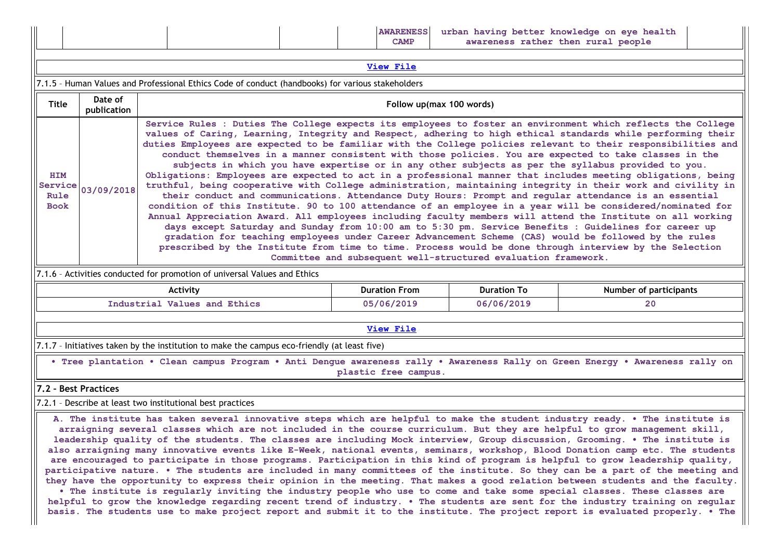| urban having better knowledge on eye health<br><b>AWARENESS</b><br>awareness rather then rural people<br><b>CAMP</b> |
|----------------------------------------------------------------------------------------------------------------------|
|----------------------------------------------------------------------------------------------------------------------|

| View File                                                                                         |                                                                                                                                                                                                                                                                                                                                                                                                                                                                                                                                                                                                                                                                                                                                                                                                                                                                                                                                                                                                                                                                                                                                                                                                                                                                                                                                                                                                                                                                                                                                                    |                          |  |  |  |  |  |  |  |
|---------------------------------------------------------------------------------------------------|----------------------------------------------------------------------------------------------------------------------------------------------------------------------------------------------------------------------------------------------------------------------------------------------------------------------------------------------------------------------------------------------------------------------------------------------------------------------------------------------------------------------------------------------------------------------------------------------------------------------------------------------------------------------------------------------------------------------------------------------------------------------------------------------------------------------------------------------------------------------------------------------------------------------------------------------------------------------------------------------------------------------------------------------------------------------------------------------------------------------------------------------------------------------------------------------------------------------------------------------------------------------------------------------------------------------------------------------------------------------------------------------------------------------------------------------------------------------------------------------------------------------------------------------------|--------------------------|--|--|--|--|--|--|--|
| 7.1.5 - Human Values and Professional Ethics Code of conduct (handbooks) for various stakeholders |                                                                                                                                                                                                                                                                                                                                                                                                                                                                                                                                                                                                                                                                                                                                                                                                                                                                                                                                                                                                                                                                                                                                                                                                                                                                                                                                                                                                                                                                                                                                                    |                          |  |  |  |  |  |  |  |
| <b>Title</b>                                                                                      | Date of<br>publication                                                                                                                                                                                                                                                                                                                                                                                                                                                                                                                                                                                                                                                                                                                                                                                                                                                                                                                                                                                                                                                                                                                                                                                                                                                                                                                                                                                                                                                                                                                             | Follow up(max 100 words) |  |  |  |  |  |  |  |
| <b>HIM</b><br>Service<br>Rule<br><b>Book</b>                                                      | Service Rules : Duties The College expects its employees to foster an environment which reflects the College<br>values of Caring, Learning, Integrity and Respect, adhering to high ethical standards while performing their<br>duties Employees are expected to be familiar with the College policies relevant to their responsibilities and<br>conduct themselves in a manner consistent with those policies. You are expected to take classes in the<br>subjects in which you have expertise or in any other subjects as per the syllabus provided to you.<br>Obligations: Employees are expected to act in a professional manner that includes meeting obligations, being<br>truthful, being cooperative with College administration, maintaining integrity in their work and civility in<br>03/09/2018<br>their conduct and communications. Attendance Duty Hours: Prompt and regular attendance is an essential<br>condition of this Institute. 90 to 100 attendance of an employee in a year will be considered/nominated for<br>Annual Appreciation Award. All employees including faculty members will attend the Institute on all working<br>days except Saturday and Sunday from 10:00 am to 5:30 pm. Service Benefits : Guidelines for career up<br>gradation for teaching employees under Career Advancement Scheme (CAS) would be followed by the rules<br>prescribed by the Institute from time to time. Process would be done through interview by the Selection<br>Committee and subsequent well-structured evaluation framework. |                          |  |  |  |  |  |  |  |
| 7.1.6 - Activities conducted for promotion of universal Values and Ethics                         |                                                                                                                                                                                                                                                                                                                                                                                                                                                                                                                                                                                                                                                                                                                                                                                                                                                                                                                                                                                                                                                                                                                                                                                                                                                                                                                                                                                                                                                                                                                                                    |                          |  |  |  |  |  |  |  |
| <b>Duration To</b><br><b>Duration From</b><br><b>Number of participants</b><br>Activity           |                                                                                                                                                                                                                                                                                                                                                                                                                                                                                                                                                                                                                                                                                                                                                                                                                                                                                                                                                                                                                                                                                                                                                                                                                                                                                                                                                                                                                                                                                                                                                    |                          |  |  |  |  |  |  |  |
| 05/06/2019<br>06/06/2019<br>Industrial Values and Ethics<br>20                                    |                                                                                                                                                                                                                                                                                                                                                                                                                                                                                                                                                                                                                                                                                                                                                                                                                                                                                                                                                                                                                                                                                                                                                                                                                                                                                                                                                                                                                                                                                                                                                    |                          |  |  |  |  |  |  |  |
| View File                                                                                         |                                                                                                                                                                                                                                                                                                                                                                                                                                                                                                                                                                                                                                                                                                                                                                                                                                                                                                                                                                                                                                                                                                                                                                                                                                                                                                                                                                                                                                                                                                                                                    |                          |  |  |  |  |  |  |  |
| 7.1.7 - Initiatives taken by the institution to make the campus eco-friendly (at least five)      |                                                                                                                                                                                                                                                                                                                                                                                                                                                                                                                                                                                                                                                                                                                                                                                                                                                                                                                                                                                                                                                                                                                                                                                                                                                                                                                                                                                                                                                                                                                                                    |                          |  |  |  |  |  |  |  |

• Tree plantation • Clean campus Program • Anti Dengue awareness rally • Awareness Rally on Green Energy • Awareness rally on plastic free campus.

### 7.2 – Best Practices

7.2.1 – Describe at least two institutional best practices

A. The institute has taken several innovative steps which are helpful to make the student industry ready. • The institute is arraigning several classes which are not included in the course curriculum. But they are helpful to grow management skill, leadership quality of the students. The classes are including Mock interview, Group discussion, Grooming. • The institute is also arraigning many innovative events like E-Week, national events, seminars, workshop, Blood Donation camp etc. The students are encouraged to participate in those programs. Participation in this kind of program is helpful to grow leadership quality, participative nature. • The students are included in many committees of the institute. So they can be a part of the meeting and they have the opportunity to express their opinion in the meeting. That makes a good relation between students and the faculty.

• The institute is regularly inviting the industry people who use to come and take some special classes. These classes are helpful to grow the knowledge regarding recent trend of industry. • The students are sent for the industry training on regular basis. The students use to make project report and submit it to the institute. The project report is evaluated properly. • The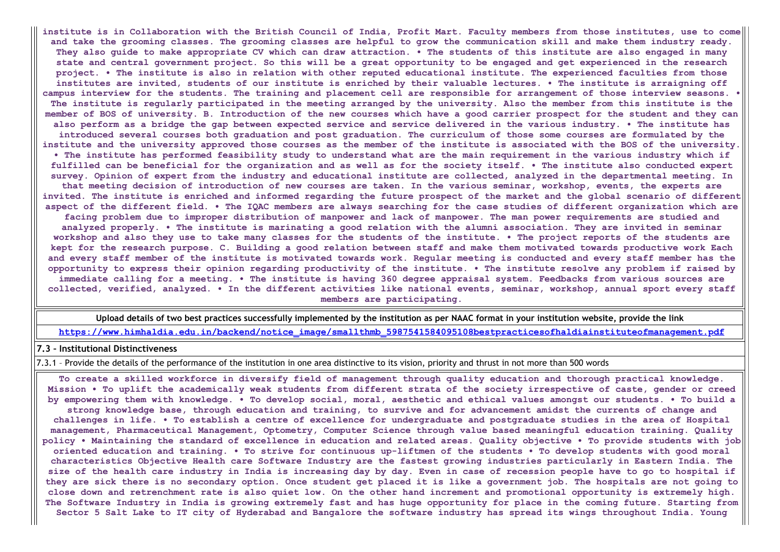institute is in Collaboration with the British Council of India, Profit Mart. Faculty members from those institutes, use to come and take the grooming classes. The grooming classes are helpful to grow the communication skill and make them industry ready. They also guide to make appropriate CV which can draw attraction. . The students of this institute are also engaged in many state and central government project. So this will be a great opportunity to be engaged and get experienced in the research project. • The institute is also in relation with other reputed educational institute. The experienced faculties from those institutes are invited, students of our institute is enriched by their valuable lectures. • The institute is arraigning off campus interview for the students. The training and placement cell are responsible for arrangement of those interview seasons. • The institute is regularly participated in the meeting arranged by the university. Also the member from this institute is the member of BOS of university. B. Introduction of the new courses which have a good carrier prospect for the student and they can also perform as a bridge the gap between expected service and service delivered in the various industry. • The institute has introduced several courses both graduation and post graduation. The curriculum of those some courses are formulated by the institute and the university approved those courses as the member of the institute is associated with the BOS of the university. • The institute has performed feasibility study to understand what are the main requirement in the various industry which if fulfilled can be beneficial for the organization and as well as for the society itself. • The institute also conducted expert survey. Opinion of expert from the industry and educational institute are collected, analyzed in the departmental meeting. In that meeting decision of introduction of new courses are taken. In the various seminar, workshop, events, the experts are invited. The institute is enriched and informed regarding the future prospect of the market and the global scenario of different aspect of the different field. • The IQAC members are always searching for the case studies of different organization which are facing problem due to improper distribution of manpower and lack of manpower. The man power requirements are studied and analyzed properly. • The institute is marinating a good relation with the alumni association. They are invited in seminar workshop and also they use to take many classes for the students of the institute. • The project reports of the students are kept for the research purpose. C. Building a good relation between staff and make them motivated towards productive work Each and every staff member of the institute is motivated towards work. Regular meeting is conducted and every staff member has the opportunity to express their opinion regarding productivity of the institute. • The institute resolve any problem if raised by immediate calling for a meeting. • The institute is having 360 degree appraisal system. Feedbacks from various sources are collected, verified, analyzed. • In the different activities like national events, seminar, workshop, annual sport every staff members are participating.

Upload details of two best practices successfully implemented by the institution as per NAAC format in your institution website, provide the link

[https://www.himhaldia.edu.in/backend/notice\\_image/smallthmb\\_5987541584095108bestpracticesofhaldiainstituteofmanagement.pdf](https://www.himhaldia.edu.in/backend/notice_image/smallthmb_5987541584095108bestpracticesofhaldiainstituteofmanagement.pdf)

7.3 – Institutional Distinctiveness

7.3.1 – Provide the details of the performance of the institution in one area distinctive to its vision, priority and thrust in not more than 500 words

To create a skilled workforce in diversify field of management through quality education and thorough practical knowledge. Mission • To uplift the academically weak students from different strata of the society irrespective of caste, gender or creed by empowering them with knowledge. • To develop social, moral, aesthetic and ethical values amongst our students. • To build a strong knowledge base, through education and training, to survive and for advancement amidst the currents of change and challenges in life. • To establish a centre of excellence for undergraduate and postgraduate studies in the area of Hospital management, Pharmaceutical Management, Optometry, Computer Science through value based meaningful education training. Quality policy • Maintaining the standard of excellence in education and related areas. Quality objective • To provide students with job oriented education and training. • To strive for continuous up-liftmen of the students • To develop students with good moral characteristics Objective Health care Software Industry are the fastest growing industries particularly in Eastern India. The size of the health care industry in India is increasing day by day. Even in case of recession people have to go to hospital if they are sick there is no secondary option. Once student get placed it is like a government job. The hospitals are not going to close down and retrenchment rate is also quiet low. On the other hand increment and promotional opportunity is extremely high. The Software Industry in India is growing extremely fast and has huge opportunity for place in the coming future. Starting from Sector 5 Salt Lake to IT city of Hyderabad and Bangalore the software industry has spread its wings throughout India. Young